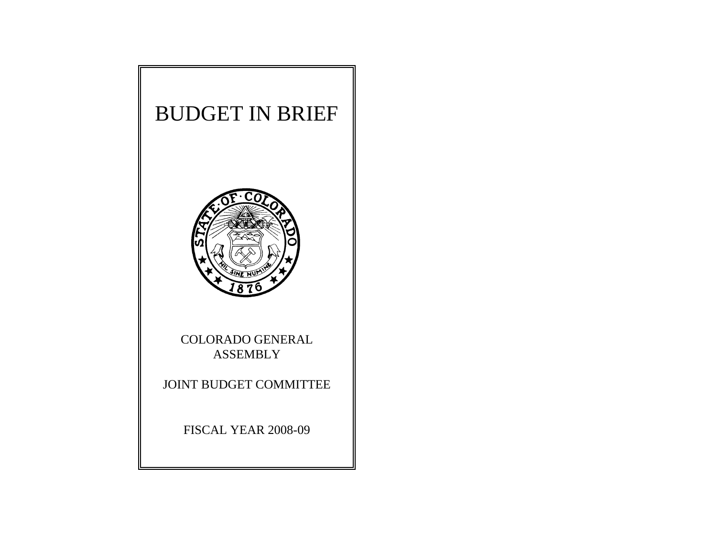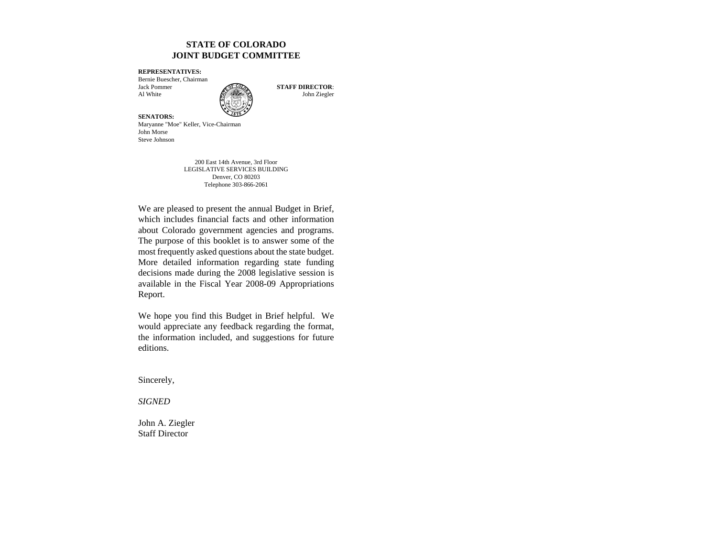#### **STATE OF COLORADOJOINT BUDGET COMMITTEE**

**REPRESENTATIVES:**

Bernie Buescher, Chairman Jack PommerAl White  $\mathbb{R}$  John Ziegler



**STAFF DIRECTOR**:

**SENATORS:** Maryanne "Moe" Keller, Vice-Chairman John MorseSteve Johnson

> 200 East 14th Avenue, 3rd Floor LEGISLATIVE SERVICES BUILDING Denver, CO 80203 Telephone 303-866-2061

We are pleased to present the annual Budget in Brief, which includes financial facts and other information about Colorado government agencies and programs. The purpose of this booklet is to answer some of the most frequently asked questions about the state budget. More detailed information regarding state funding decisions made during the 2008 legislative session is available in the Fiscal Year 2008-09 Appropriations Report.

We hope you find this Budget in Brief helpful. We would appreciate any feedback regarding the format, the information included, and suggestions for future editions.

Sincerely,

*SIGNED*

John A. Ziegler Staff Director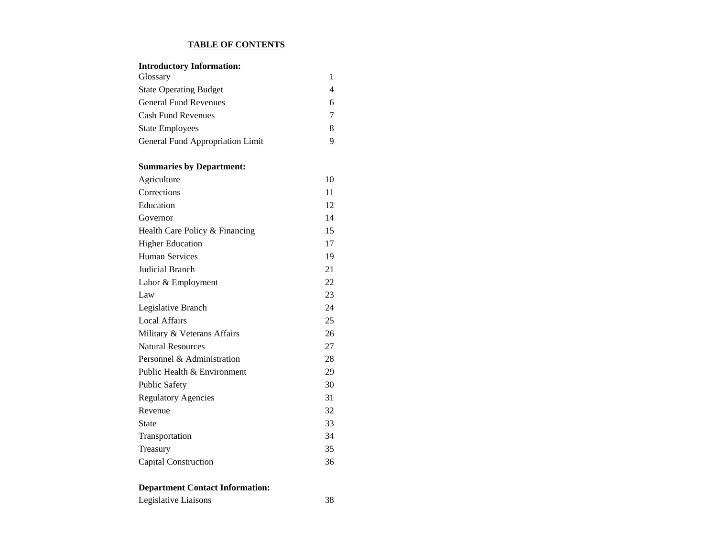#### **TABLE OF CONTENTS**

| <b>Introductory Information:</b> |    |
|----------------------------------|----|
| Glossary                         | 1  |
| <b>State Operating Budget</b>    | 4  |
| <b>General Fund Revenues</b>     | 6  |
| <b>Cash Fund Revenues</b>        | 7  |
| <b>State Employees</b>           | 8  |
| General Fund Appropriation Limit | 9  |
| <b>Summaries by Department:</b>  |    |
| Agriculture                      | 10 |
| Corrections                      | 11 |
| Education                        | 12 |
| Governor                         | 14 |
| Health Care Policy & Financing   | 15 |
| <b>Higher Education</b>          | 17 |
| <b>Human Services</b>            | 19 |
| <b>Judicial Branch</b>           | 21 |
| Labor & Employment               | 22 |
| Law                              | 23 |
| Legislative Branch               | 24 |
| <b>Local Affairs</b>             | 25 |
| Military & Veterans Affairs      | 26 |
| <b>Natural Resources</b>         | 27 |
| Personnel & Administration       | 28 |
| Public Health & Environment      | 29 |
| <b>Public Safety</b>             | 30 |
| <b>Regulatory Agencies</b>       | 31 |
| Revenue                          | 32 |
| State                            | 33 |
| Transportation                   | 34 |
| Treasury                         | 35 |
| Capital Construction             | 36 |

# **Department Contact Information:**

Legislative Liaisons 38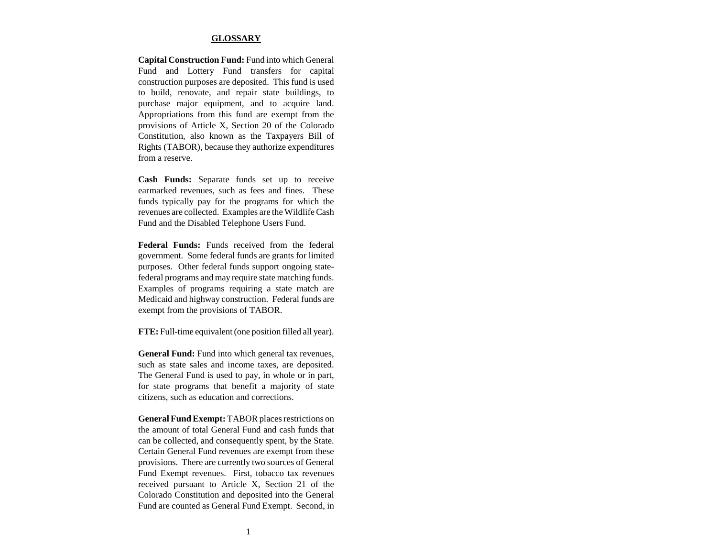#### **GLOSSARY**

**Capital Construction Fund:** Fund into which General Fund and Lottery Fund transfers for capital construction purposes are deposited. This fund is used to build, renovate, and repair state buildings, to purchase major equipment, and to acquire land. Appropriations from this fund are exempt from the provisions of Article X, Section 20 of the Colorado Constitution, also known as the Taxpayers Bill of Rights (TABOR), because they authorize expenditures from a reserve.

**Cash Funds:** Separate funds set up to receive earmarked revenues, such as fees and fines. These funds typically pay for the programs for which the revenues are collected. Examples are the Wildlife Cash Fund and the Disabled Telephone Users Fund.

**Federal Funds:** Funds received from the federalgovernment. Some federal funds are grants for limited purposes. Other federal funds support ongoing statefederal programs and may require state matching funds. Examples of programs requiring a state match are Medicaid and highway construction. Federal funds are exempt from the provisions of TABOR.

**FTE:** Full-time equivalent (one position filled all year).

**General Fund:** Fund into which general tax revenues, such as state sales and income taxes, are deposited. The General Fund is used to pay, in whole or in part, for state programs that benefit a majority of state citizens, such as education and corrections.

**General Fund Exempt:** TABOR places restrictions on the amount of total General Fund and cash funds thatcan be collected, and consequently spent, by the State. Certain General Fund revenues are exempt from these provisions. There are currently two sources of General Fund Exempt revenues. First, tobacco tax revenues received pursuant to Article X, Section 21 of the Colorado Constitution and deposited into the General Fund are counted as General Fund Exempt. Second, in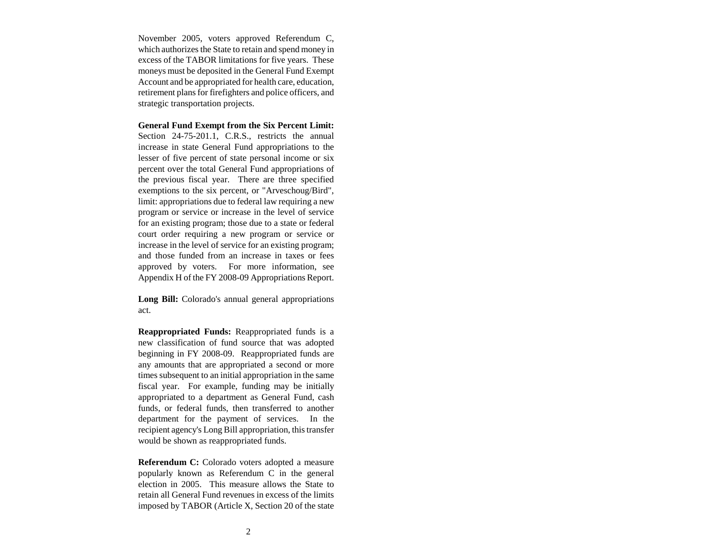November 2005, voters approved Referendum C, which authorizes the State to retain and spend money in excess of the TABOR limitations for five years. These moneys must be deposited in the General Fund Exempt Account and be appropriated for health care, education, retirement plans for firefighters and police officers, and strategic transportation projects.

**General Fund Exempt from the Six Percent Limit:** Section 24-75-201.1, C.R.S., restricts the annual increase in state General Fund appropriations to the lesser of five percent of state personal income or six percent over the total General Fund appropriations of the previous fiscal year. There are three specified exemptions to the six percent, or "Arveschoug/Bird", limit: appropriations due to federal law requiring a new program or service or increase in the level of service for an existing program; those due to a state or federal court order requiring a new program or service or increase in the level of service for an existing program; and those funded from an increase in taxes or fees approved by voters. For more information, see Appendix H of the FY 2008-09 Appropriations Report.

**Long Bill:** Colorado's annual general appropriations act.

**Reappropriated Funds:** Reappropriated funds is a new classification of fund source that was adopted beginning in FY 2008-09. Reappropriated funds are any amounts that are appropriated a second or more times subsequent to an initial appropriation in the same fiscal year. For example, funding may be initially appropriated to a department as General Fund, cash funds, or federal funds, then transferred to another department for the payment of services. In the recipient agency's Long Bill appropriation, this transfer would be shown as reappropriated funds.

**Referendum C:** Colorado voters adopted a measure popularly known as Referendum C in the general election in 2005. This measure allows the State toretain all General Fund revenues in excess of the limits imposed by TABOR (Article X, Section 20 of the state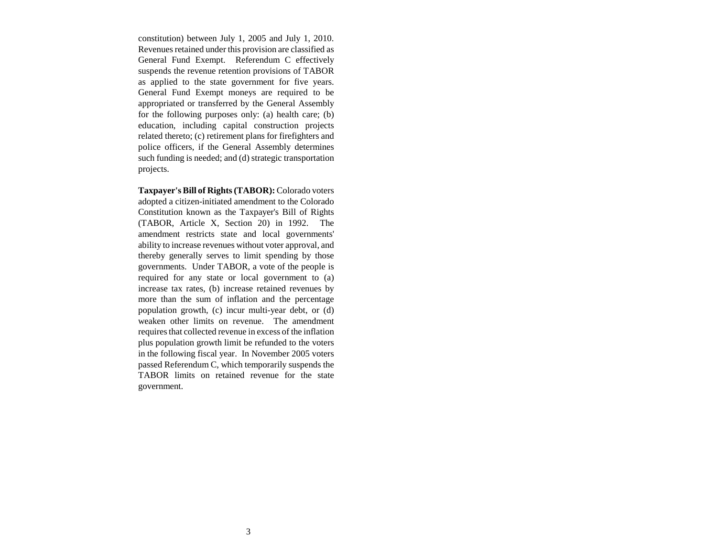constitution) between July 1, 2005 and July 1, 2010. Revenues retained under this provision are classified as General Fund Exempt. Referendum C effectively suspends the revenue retention provisions of TABOR as applied to the state government for five years. General Fund Exempt moneys are required to be appropriated or transferred by the General Assembly for the following purposes only: (a) health care; (b) education, including capital construction projects related thereto; (c) retirement plans for firefighters and police officers, if the General Assembly determines such funding is needed; and (d) strategic transportation projects.

**Taxpayer's Bill of Rights (TABOR):** Colorado voters adopted a citizen-initiated amendment to the Colorado Constitution known as the Taxpayer's Bill of Rights (TABOR, Article X, Section 20) in 1992. The amendment restricts state and local governments' ability to increase revenues without voter approval, and thereby generally serves to limit spending by those governments. Under TABOR, a vote of the people is required for any state or local government to (a) increase tax rates, (b) increase retained revenues by more than the sum of inflation and the percentage population growth, (c) incur multi-year debt, or (d) weaken other limits on revenue. The amendment requires that collected revenue in excess of the inflation plus population growth limit be refunded to the voters in the following fiscal year. In November 2005 voters passed Referendum C, which temporarily suspends the TABOR limits on retained revenue for the state government.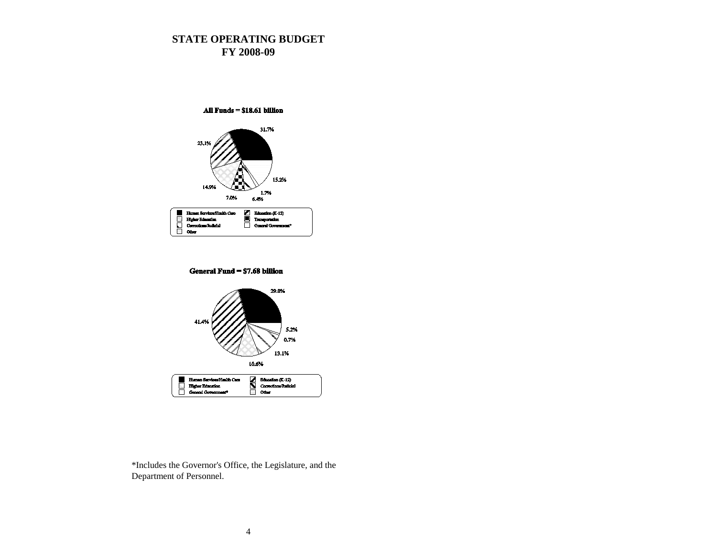## **STATE OPERATING BUDGET FY 2008-09**



General Fund = \$7.68 billion



\*Includes the Governor's Office, the Legislature, and the Department of Personnel.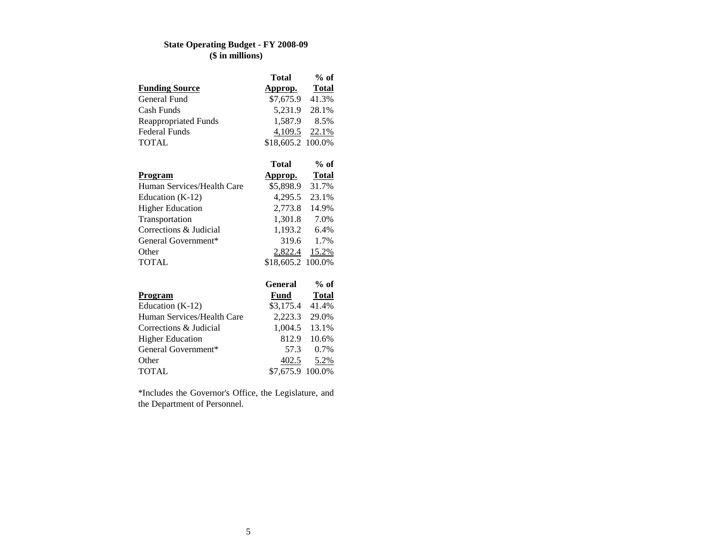## **State Operating Budget - FY 2008-09 (\$ in millions)**

|                             | <b>Total</b>      | $%$ of       |
|-----------------------------|-------------------|--------------|
| <b>Funding Source</b>       | Approp.           | <b>Total</b> |
| General Fund                | \$7,675.9         | 41.3%        |
| Cash Funds                  | 5,231.9           | 28.1%        |
| <b>Reappropriated Funds</b> | 1,587.9           | 8.5%         |
| <b>Federal Funds</b>        | $4,109.5$ 22.1%   |              |
| <b>TOTAL</b>                | \$18,605.2 100.0% |              |
|                             |                   |              |
|                             | Total             | $%$ of       |
| Program                     | <u>Approp.</u>    | <b>Total</b> |
| Human Services/Health Care  | \$5,898.9         | 31.7%        |
| Education (K-12)            | 4,295.5 23.1%     |              |
| <b>Higher Education</b>     | 2,773.8           | 14.9%        |
| Transportation              | 1,301.8 7.0%      |              |
| Corrections & Judicial      | 1,193.2 6.4%      |              |
| General Government*         | 319.6             | 1.7%         |
| Other                       | 2,822.4           | 15.2%        |
| <b>TOTAL</b>                | \$18,605.2 100.0% |              |
|                             |                   |              |
|                             | General           | $%$ of       |
| Program                     | Fund              | <b>Total</b> |
| Education $(K-12)$          | \$3,175.4         | 41.4%        |
| Human Services/Health Care  | 2,223.3           | 29.0%        |

Corrections & Judicial 1,004.5 13.1% Higher Education 812.9 10.6%

TOTAL \$7,675.9 100.0%

\*Includes the Governor's Office, the Legislature, and

57.3 0.7%

<u>5.2%</u>

General Government\*

the Department of Personnel.

Other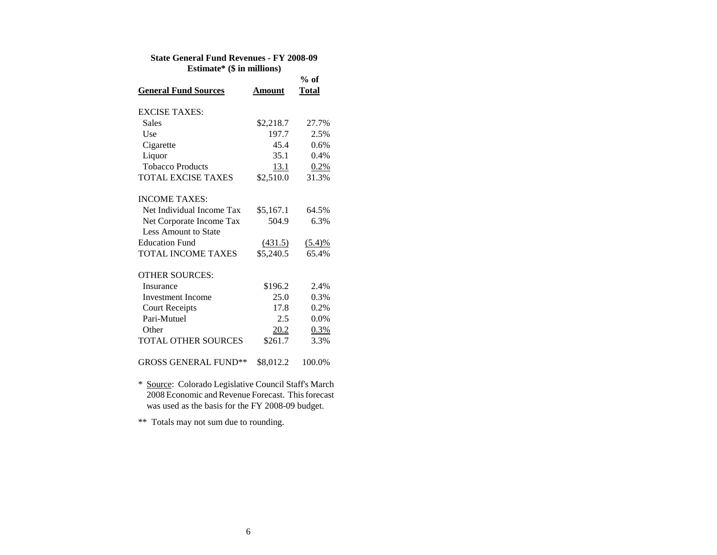#### **State General Fund Revenues - FY 2008-09 Estimate\* (\$ in millions)**

|                             |           | $%$ of       |
|-----------------------------|-----------|--------------|
| <b>General Fund Sources</b> | Amount    | <b>Total</b> |
| <b>EXCISE TAXES:</b>        |           |              |
| <b>Sales</b>                | \$2,218.7 | 27.7%        |
| Use                         | 197.7     | 2.5%         |
| Cigarette                   | 45.4      | 0.6%         |
| Liquor                      | 35.1      | 0.4%         |
| <b>Tobacco Products</b>     | 13.1      | 0.2%         |
| <b>TOTAL EXCISE TAXES</b>   | \$2,510.0 | 31.3%        |
| <b>INCOME TAXES:</b>        |           |              |
| Net Individual Income Tax   | \$5,167.1 | 64.5%        |
| Net Corporate Income Tax    | 504.9     | 6.3%         |
| <b>Less Amount to State</b> |           |              |
| <b>Education Fund</b>       | (431.5)   | (5.4)%       |
| <b>TOTAL INCOME TAXES</b>   | \$5,240.5 | 65.4%        |
| <b>OTHER SOURCES:</b>       |           |              |
| Insurance                   | \$196.2   | 2.4%         |
| <b>Investment Income</b>    | 25.0      | 0.3%         |
| <b>Court Receipts</b>       | 17.8      | 0.2%         |
| Pari-Mutuel                 | 2.5       | 0.0%         |
| Other                       | 20.2      | 0.3%         |
| <b>TOTAL OTHER SOURCES</b>  | \$261.7   | 3.3%         |
| <b>GROSS GENERAL FUND**</b> | \$8,012.2 | 100.0%       |

\* Source: Colorado Legislative Council Staff's March 2008 Economic and Revenue Forecast. This forecast was used as the basis for the FY 2008-09 budget.

\*\* Totals may not sum due to rounding.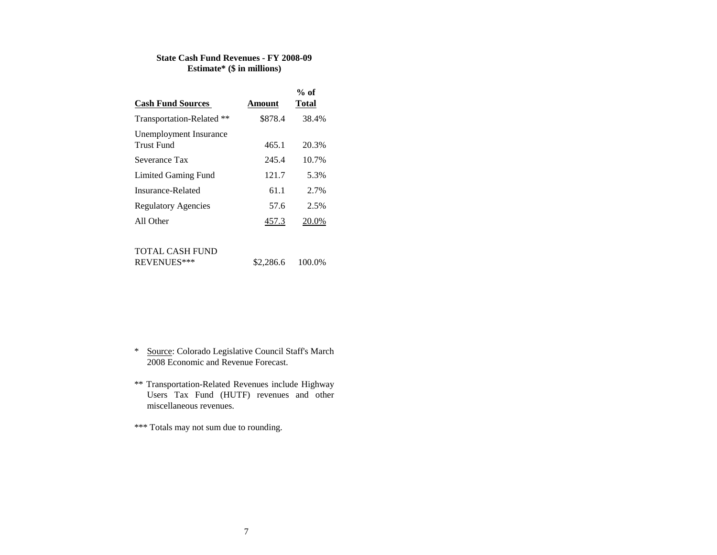#### **State Cash Fund Revenues - FY 2008-09 Estimate\* (\$ in millions)**

|                            |         | $%$ of       |
|----------------------------|---------|--------------|
| <b>Cash Fund Sources</b>   | Amount  | <b>Total</b> |
| Transportation-Related **  | \$878.4 | 38.4%        |
| Unemployment Insurance     |         |              |
| Trust Fund                 | 465.1   | 20.3%        |
| Severance Tax              | 245.4   | 10.7%        |
| Limited Gaming Fund        | 121.7   | 5.3%         |
| Insurance-Related          | 61.1    | 2.7%         |
| <b>Regulatory Agencies</b> | 57.6    | 2.5%         |
| All Other                  | 457.3   | 20.0%        |
|                            |         |              |

#### TOTAL CASH FUND

| REVENUES*** | \$2,286.6 | 100.0% |
|-------------|-----------|--------|
|             |           |        |

- \* Source: Colorado Legislative Council Staff's March 2008 Economic and Revenue Forecast.
- \*\* Transportation-Related Revenues include Highway Users Tax Fund (HUTF) revenues and other miscellaneous revenues.

\*\*\* Totals may not sum due to rounding.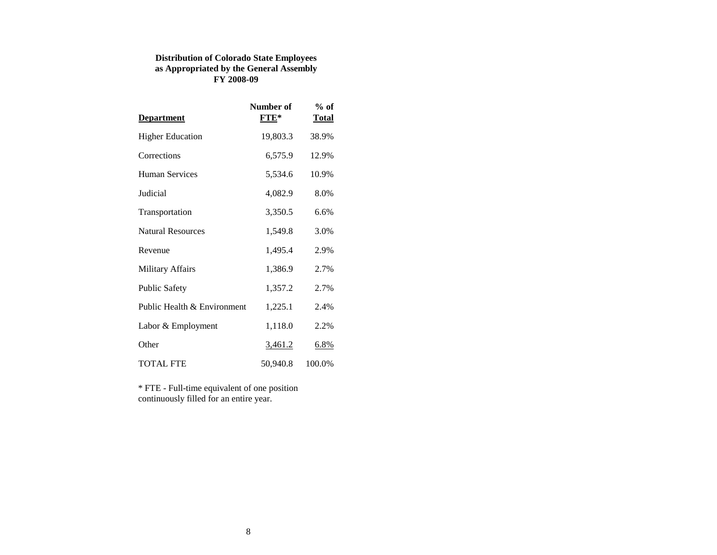### **Distribution of Colorado State Employees as Appropriated by the General Assembly FY 2008-09**

| <b>Department</b>           | Number of<br>$FTE*$ | $%$ of<br><b>Total</b> |
|-----------------------------|---------------------|------------------------|
| <b>Higher Education</b>     | 19,803.3            | 38.9%                  |
| Corrections                 | 6,575.9             | 12.9%                  |
| <b>Human Services</b>       | 5,534.6             | 10.9%                  |
| Judicial                    | 4,082.9             | 8.0%                   |
| Transportation              | 3,350.5             | 6.6%                   |
| <b>Natural Resources</b>    | 1,549.8             | 3.0%                   |
| Revenue                     | 1,495.4             | 2.9%                   |
| <b>Military Affairs</b>     | 1,386.9             | 2.7%                   |
| <b>Public Safety</b>        | 1,357.2             | 2.7%                   |
| Public Health & Environment | 1,225.1             | 2.4%                   |
| Labor & Employment          | 1,118.0             | 2.2%                   |
| Other                       | <u>3,461.2</u>      | $6.8\%$                |
| <b>TOTAL FTE</b>            | 50,940.8            | 100.0%                 |

\* FTE - Full-time equivalent of one position continuously filled for an entire year.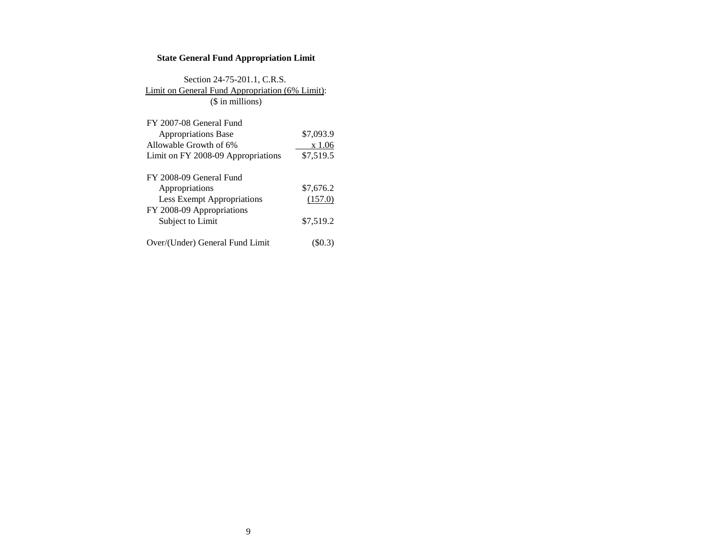### **State General Fund Appropriation Limit**

## Section 24-75-201.1, C.R.S. Limit on General Fund Appropriation (6% Limit): (\$ in millions)

| FY 2007-08 General Fund            |           |
|------------------------------------|-----------|
| <b>Appropriations Base</b>         | \$7,093.9 |
| Allowable Growth of 6%             | x 1.06    |
| Limit on FY 2008-09 Appropriations | \$7,519.5 |
|                                    |           |
| FY 2008-09 General Fund            |           |
| Appropriations                     | \$7,676.2 |
| <b>Less Exempt Appropriations</b>  | (157.0)   |
| FY 2008-09 Appropriations          |           |
| Subject to Limit                   | \$7,519.2 |
|                                    |           |
| Over/(Under) General Fund Limit    |           |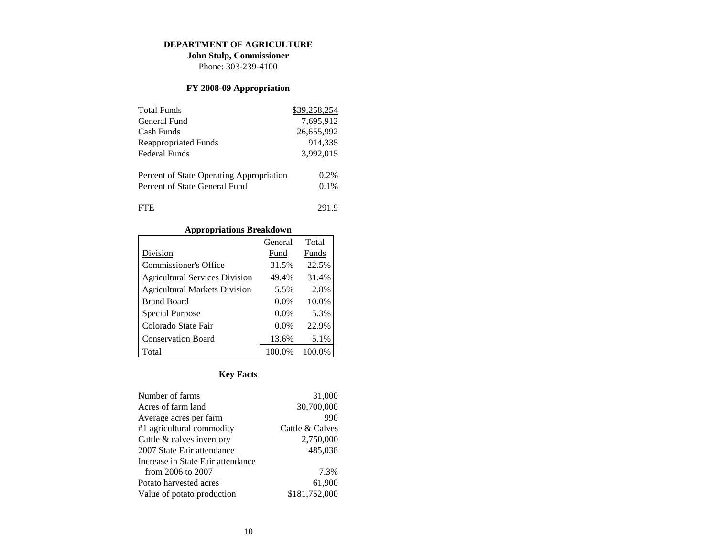#### **DEPARTMENT OF AGRICULTURE**

**John Stulp, Commissioner** Phone: 303-239-4100

### **FY 2008-09 Appropriation**

| <b>Total Funds</b>                       | \$39,258,254 |
|------------------------------------------|--------------|
| General Fund                             | 7,695,912    |
| Cash Funds                               | 26,655,992   |
| <b>Reappropriated Funds</b>              | 914,335      |
| Federal Funds                            | 3,992,015    |
| Percent of State Operating Appropriation | 0.2%         |
| Percent of State General Fund            | 0.1%         |
| <b>FTE</b>                               | 291.9        |

# **Appropriations Breakdown**

|                                       | General | Total  |
|---------------------------------------|---------|--------|
| Division                              | Fund    | Funds  |
| <b>Commissioner's Office</b>          | 31.5%   | 22.5%  |
| <b>Agricultural Services Division</b> | 49.4%   | 31.4%  |
| <b>Agricultural Markets Division</b>  | 5.5%    | 2.8%   |
| <b>Brand Board</b>                    | $0.0\%$ | 10.0%  |
| Special Purpose                       | $0.0\%$ | 5.3%   |
| Colorado State Fair                   | $0.0\%$ | 22.9%  |
| <b>Conservation Board</b>             | 13.6%   | 5.1%   |
| Total                                 | 100.0%  | 100.0% |

| Number of farms                   | 31,000          |
|-----------------------------------|-----------------|
| Acres of farm land                | 30,700,000      |
| Average acres per farm            | 990             |
| #1 agricultural commodity         | Cattle & Calves |
| Cattle & calves inventory         | 2,750,000       |
| 2007 State Fair attendance        | 485,038         |
| Increase in State Fair attendance |                 |
| from 2006 to 2007                 | 7.3%            |
| Potato harvested acres            | 61.900          |
| Value of potato production        | \$181,752,000   |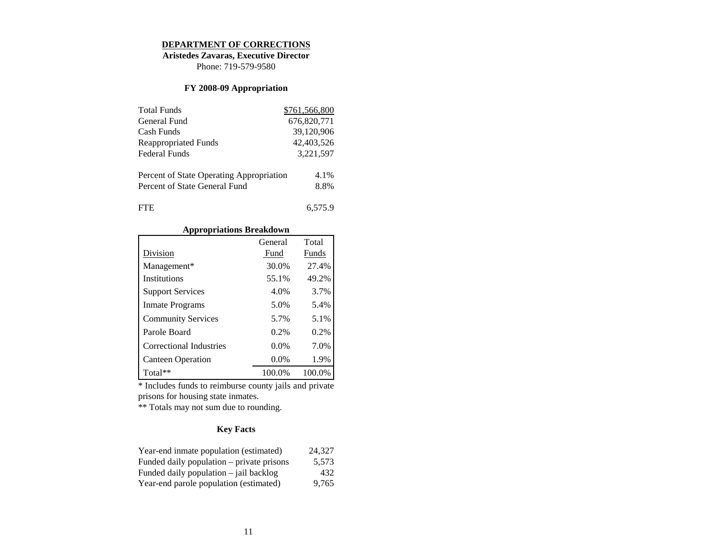#### **DEPARTMENT OF CORRECTIONS**

**Aristedes Zavaras, Executive Director**

Phone: 719-579-9580

### **FY 2008-09 Appropriation**

| <b>Total Funds</b>                       | \$761,566,800 |
|------------------------------------------|---------------|
| General Fund                             | 676,820,771   |
| Cash Funds                               | 39,120,906    |
| Reappropriated Funds                     | 42,403,526    |
| Federal Funds                            | 3,221,597     |
| Percent of State Operating Appropriation | 4.1%          |
| Percent of State General Fund            | 8.8%          |
| FIE                                      | 6.575.9       |

### **Appropriations Breakdown**

|                           | General | Total  |
|---------------------------|---------|--------|
| Division                  | Fund    | Funds  |
| Management*               | 30.0%   | 27.4%  |
| Institutions              | 55.1%   | 49.2%  |
| <b>Support Services</b>   | 4.0%    | 3.7%   |
| <b>Inmate Programs</b>    | 5.0%    | 5.4%   |
| <b>Community Services</b> | 5.7%    | 5.1%   |
| Parole Board              | $0.2\%$ | 0.2%   |
| Correctional Industries   | $0.0\%$ | 7.0%   |
| <b>Canteen Operation</b>  | $0.0\%$ | 1.9%   |
| $Total**$                 | 100.0%  | 100.0% |

\* Includes funds to reimburse county jails and private prisons for housing state inmates.

\*\* Totals may not sum due to rounding.

| Year-end inmate population (estimated)    | 24.327 |
|-------------------------------------------|--------|
| Funded daily population – private prisons | 5.573  |
| Funded daily population $-$ jail backlog  | 432    |
| Year-end parole population (estimated)    | 9.765  |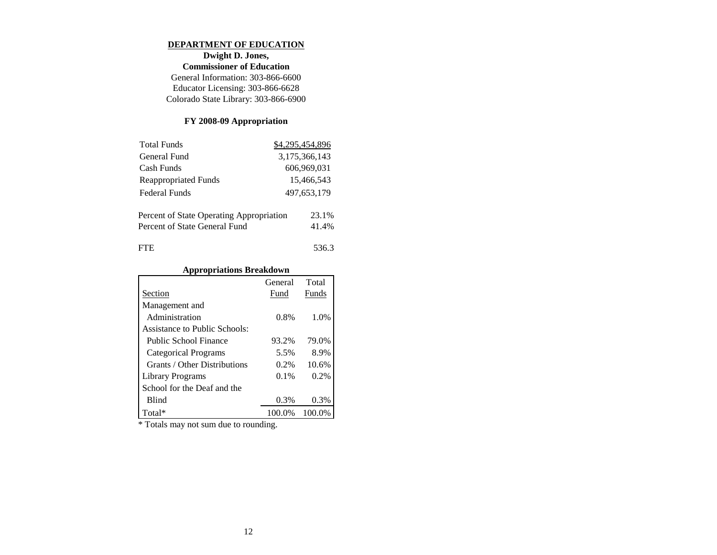#### **DEPARTMENT OF EDUCATION**

**Dwight D. Jones, Commissioner of Education** General Information: 303-866-6600 Educator Licensing: 303-866-6628 Colorado State Library: 303-866-6900

# **FY 2008-09 Appropriation**

| <b>Total Funds</b>                       | \$4,295,454,896 |
|------------------------------------------|-----------------|
| General Fund                             | 3,175,366,143   |
| Cash Funds                               | 606,969,031     |
| Reappropriated Funds                     | 15,466,543      |
| Federal Funds                            | 497, 653, 179   |
| Percent of State Operating Appropriation | 23.1%           |
| Percent of State General Fund            | 41.4%           |
| <b>FTE</b>                               | 536.3           |

# **Appropriations Breakdown**

|                               | General | Total   |
|-------------------------------|---------|---------|
| Section                       | Fund    | Funds   |
| Management and                |         |         |
| Administration                | $0.8\%$ | 1.0%    |
| Assistance to Public Schools: |         |         |
| Public School Finance         | 93.2%   | 79.0%   |
| Categorical Programs          | 5.5%    | 8.9%    |
| Grants / Other Distributions  | $0.2\%$ | 10.6%   |
| Library Programs              | $0.1\%$ | $0.2\%$ |
| School for the Deaf and the   |         |         |
| <b>Blind</b>                  | 0.3%    | 0.3%    |
| Total*                        | 100.0%  | 100.0%  |

\* Totals may not sum due to rounding.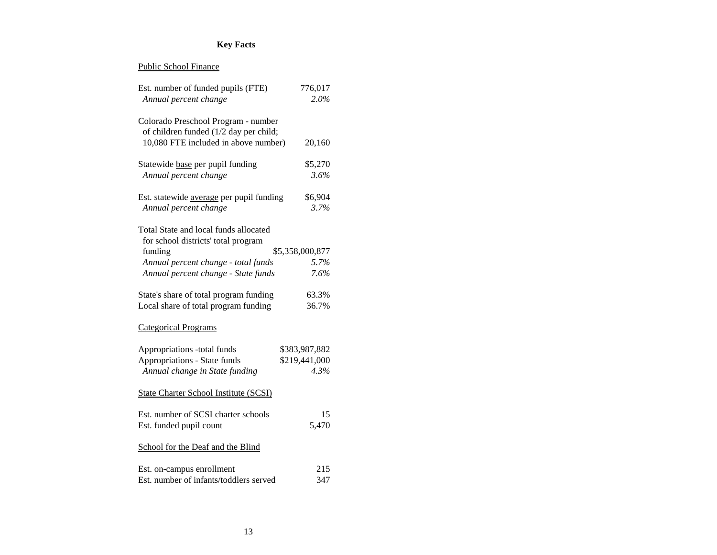| Est. number of funded pupils (FTE)<br>Annual percent change                   | 776,017<br>2.0% |
|-------------------------------------------------------------------------------|-----------------|
| Colorado Preschool Program - number<br>of children funded (1/2 day per child; |                 |
| 10,080 FTE included in above number)                                          | 20,160          |
| Statewide base per pupil funding                                              | \$5,270         |
| Annual percent change                                                         | 3.6%            |
| Est. statewide average per pupil funding                                      | \$6,904         |
| Annual percent change                                                         | 3.7%            |
| Total State and local funds allocated                                         |                 |
| for school districts' total program<br>funding                                | \$5,358,000,877 |
| Annual percent change - total funds                                           | 5.7%            |
| Annual percent change - State funds                                           | 7.6%            |
| State's share of total program funding                                        | 63.3%           |
| Local share of total program funding                                          | 36.7%           |
| <b>Categorical Programs</b>                                                   |                 |
| Appropriations -total funds                                                   | \$383,987,882   |
| Appropriations - State funds                                                  | \$219,441,000   |
| Annual change in State funding                                                | 4.3%            |
| <b>State Charter School Institute (SCSI)</b>                                  |                 |
| Est. number of SCSI charter schools                                           | 15              |
| Est. funded pupil count                                                       | 5,470           |
| School for the Deaf and the Blind                                             |                 |
| Est. on-campus enrollment                                                     | 215             |
| Est. number of infants/toddlers served                                        | 347             |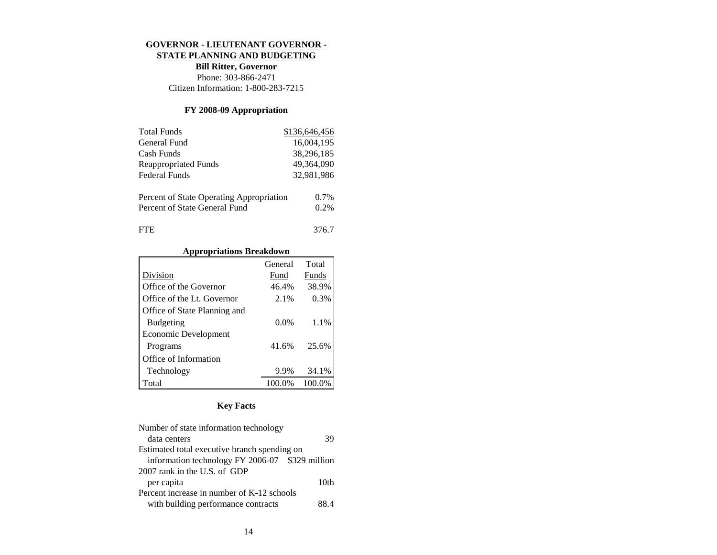#### **GOVERNOR - LIEUTENANT GOVERNOR -**

#### **STATE PLANNING AND BUDGETING**

**Bill Ritter, Governor** Phone: 303-866-2471 Citizen Information: 1-800-283-7215

### **FY 2008-09 Appropriation**

| <b>Total Funds</b>                       | \$136,646,456 |
|------------------------------------------|---------------|
| General Fund                             | 16,004,195    |
| Cash Funds                               | 38,296,185    |
| Reappropriated Funds                     | 49,364,090    |
| Federal Funds                            | 32,981,986    |
| Percent of State Operating Appropriation | $0.7\%$       |
|                                          |               |
| Percent of State General Fund            | 0.2%          |
| FLE                                      | 376.7         |

### **Appropriations Breakdown**

|                              | General | Total  |
|------------------------------|---------|--------|
| Division                     | Fund    | Funds  |
| Office of the Governor       | 46.4%   | 38.9%  |
| Office of the Lt. Governor   | 2.1%    | 0.3%   |
| Office of State Planning and |         |        |
| <b>Budgeting</b>             | $0.0\%$ | 1.1%   |
| Economic Development         |         |        |
| Programs                     | 41.6%   | 25.6%  |
| Office of Information        |         |        |
| Technology                   | 9.9%    | 34.1%  |
| Total                        | 100.0%  | 100.0% |

| Number of state information technology          |                  |
|-------------------------------------------------|------------------|
| data centers                                    | 39               |
| Estimated total executive branch spending on    |                  |
| information technology FY 2006-07 \$329 million |                  |
| 2007 rank in the U.S. of GDP                    |                  |
| per capita                                      | 10 <sub>th</sub> |
| Percent increase in number of K-12 schools      |                  |
| with building performance contracts             | 88 4             |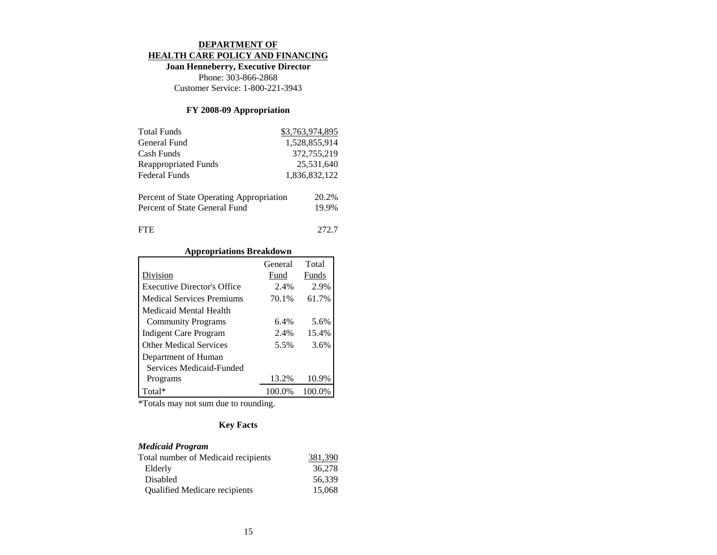#### **DEPARTMENT OF HEALTH CARE POLICY AND FINANCING**

**Joan Henneberry, Executive Director** Phone: 303-866-2868 Customer Service: 1-800-221-3943

### **FY 2008-09 Appropriation**

| <b>Total Funds</b>                                                        | \$3,763,974,895 |
|---------------------------------------------------------------------------|-----------------|
| General Fund                                                              | 1,528,855,914   |
| Cash Funds                                                                | 372,755,219     |
| <b>Reappropriated Funds</b>                                               | 25,531,640      |
| <b>Federal Funds</b>                                                      | 1,836,832,122   |
| Percent of State Operating Appropriation<br>Percent of State General Fund | 20.2%<br>19.9%  |
| FTE                                                                       |                 |

## **Appropriations Breakdown**

|                                    | General | Total  |
|------------------------------------|---------|--------|
| Division                           | Fund    | Funds  |
| <b>Executive Director's Office</b> | 2.4%    | 2.9%   |
| <b>Medical Services Premiums</b>   | 70.1%   | 61.7%  |
| Medicaid Mental Health             |         |        |
| <b>Community Programs</b>          | 6.4%    | 5.6%   |
| Indigent Care Program              | 2.4%    | 15.4%  |
| <b>Other Medical Services</b>      | 5.5%    | 3.6%   |
| Department of Human                |         |        |
| Services Medicaid-Funded           |         |        |
| Programs                           | 13.2%   | 10.9%  |
| Total*                             | 100.0%  | 100.0% |

\*Totals may not sum due to rounding.

# **Key Facts**

### *Medicaid Program*

| Total number of Medicaid recipients  | 381.390 |
|--------------------------------------|---------|
| Elderly                              | 36,278  |
| Disabled                             | 56.339  |
| <b>Qualified Medicare recipients</b> | 15,068  |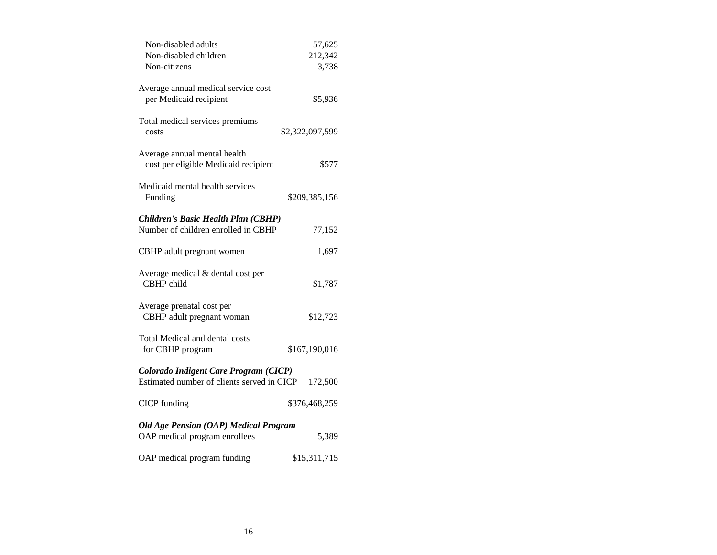| Non-disabled adults<br>Non-disabled children                                        | 57,625<br>212,342 |
|-------------------------------------------------------------------------------------|-------------------|
| Non-citizens                                                                        | 3,738             |
| Average annual medical service cost<br>per Medicaid recipient                       | \$5,936           |
| Total medical services premiums<br>costs                                            | \$2,322,097,599   |
| Average annual mental health<br>cost per eligible Medicaid recipient                | \$577             |
| Medicaid mental health services<br>Funding                                          | \$209,385,156     |
| Children's Basic Health Plan (CBHP)<br>Number of children enrolled in CBHP          | 77,152            |
| CBHP adult pregnant women                                                           | 1,697             |
| Average medical & dental cost per<br>CBHP child                                     | \$1,787           |
| Average prenatal cost per<br>CBHP adult pregnant woman                              | \$12,723          |
| Total Medical and dental costs<br>for CBHP program                                  | \$167,190,016     |
| Colorado Indigent Care Program (CICP)<br>Estimated number of clients served in CICP | 172,500           |
| <b>CICP</b> funding                                                                 | \$376,468,259     |
| <b>Old Age Pension (OAP) Medical Program</b><br>OAP medical program enrollees       | 5,389             |
| OAP medical program funding                                                         | \$15,311,715      |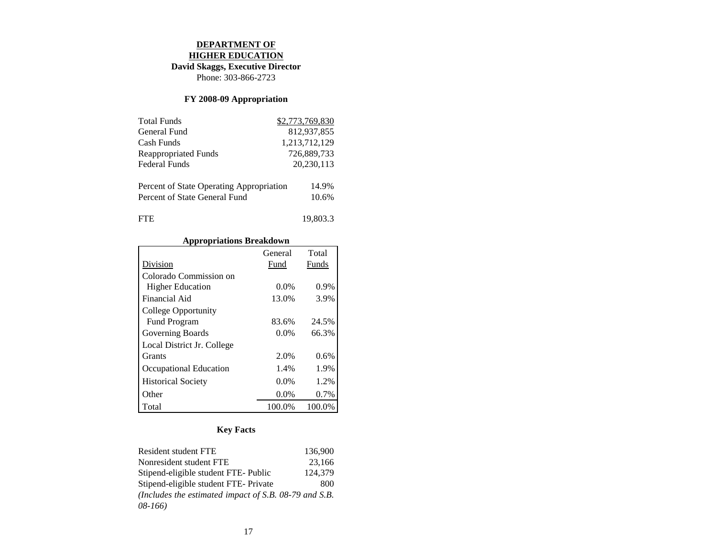# **DEPARTMENT OF**

# **HIGHER EDUCATION**

**David Skaggs, Executive Director**

Phone: 303-866-2723

# **FY 2008-09 Appropriation**

| <b>Total Funds</b>                       | \$2,773,769,830 |
|------------------------------------------|-----------------|
| General Fund                             | 812,937,855     |
| Cash Funds                               | 1,213,712,129   |
| <b>Reappropriated Funds</b>              | 726,889,733     |
| <b>Federal Funds</b>                     | 20,230,113      |
|                                          |                 |
| Percent of State Operating Appropriation | 14.9%           |
| Percent of State General Fund            | 10.6%           |
|                                          |                 |
| FTE.                                     | 19.803.3        |

### **Appropriations Breakdown**

|                            | General | Total  |
|----------------------------|---------|--------|
| Division                   | Fund    | Funds  |
| Colorado Commission on     |         |        |
| <b>Higher Education</b>    | 0.0%    | 0.9%   |
| Financial Aid              | 13.0%   | 3.9%   |
| College Opportunity        |         |        |
| <b>Fund Program</b>        | 83.6%   | 24.5%  |
| Governing Boards           | $0.0\%$ | 66.3%  |
| Local District Jr. College |         |        |
| <b>Grants</b>              | 2.0%    | 0.6%   |
| Occupational Education     | 1.4%    | 1.9%   |
| <b>Historical Society</b>  | 0.0%    | 1.2%   |
| Other                      | $0.0\%$ | 0.7%   |
| Total                      | 100.0%  | 100.0% |

| Resident student FTE                                    | 136,900 |
|---------------------------------------------------------|---------|
| Nonresident student FTE                                 | 23.166  |
| Stipend-eligible student FTE- Public                    | 124.379 |
| Stipend-eligible student FTE- Private                   | 800     |
| (Includes the estimated impact of S.B. $08-79$ and S.B. |         |
| $08-166$                                                |         |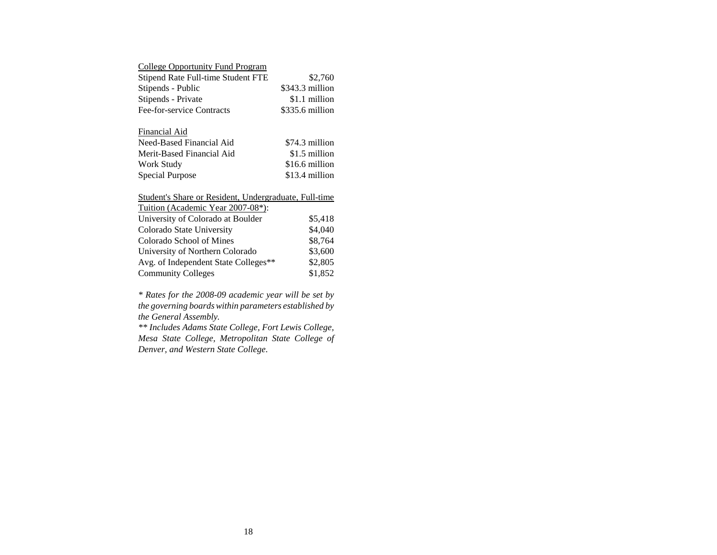## College Opportunity Fund Program

| Stipend Rate Full-time Student FTE | \$2,760         |
|------------------------------------|-----------------|
| Stipends - Public                  | \$343.3 million |
| Stipends - Private                 | \$1.1 million   |
| Fee-for-service Contracts          | \$335.6 million |

#### Financial Aid

| Need-Based Financial Aid  | \$74.3 million |
|---------------------------|----------------|
| Merit-Based Financial Aid | \$1.5 million  |
| Work Study                | \$16.6 million |
| Special Purpose           | \$13.4 million |

### Student's Share or Resident, Undergraduate, Full-time

| University of Colorado at Boulder    | \$5,418 |
|--------------------------------------|---------|
| Colorado State University            | \$4,040 |
| Colorado School of Mines             | \$8,764 |
| University of Northern Colorado      | \$3,600 |
| Avg. of Independent State Colleges** | \$2,805 |
| <b>Community Colleges</b>            | \$1,852 |

*\* Rates for the 2008-09 academic year will be set by the governing boards within parameters established by the General Assembly.*

*\*\* Includes Adams State College, Fort Lewis College, Mesa State College, Metropolitan State College of Denver, and Western State College*.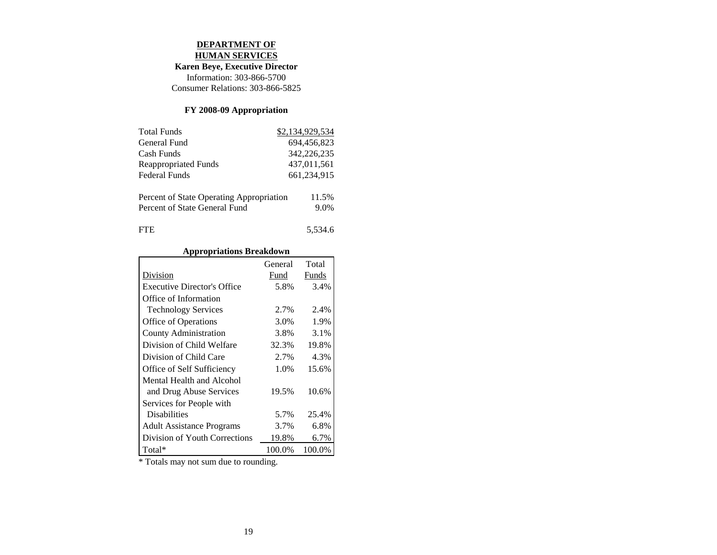#### **DEPARTMENT OF HUMAN SERVICES**

# **Karen Beye, Executive Director**

Information: 303-866-5700 Consumer Relations: 303-866-5825

# **FY 2008-09 Appropriation**

| <b>Total Funds</b>                                                        | \$2,134,929,534 |
|---------------------------------------------------------------------------|-----------------|
| General Fund                                                              | 694.456.823     |
| Cash Funds                                                                | 342,226,235     |
| <b>Reappropriated Funds</b>                                               | 437,011,561     |
| <b>Federal Funds</b>                                                      | 661,234,915     |
| Percent of State Operating Appropriation<br>Percent of State General Fund | 11.5%<br>9.0%   |
| FTE.                                                                      | 5,534.6         |

# **Appropriations Breakdown**

|                                    | General | Total  |
|------------------------------------|---------|--------|
| Division                           | Fund    | Funds  |
| <b>Executive Director's Office</b> | 5.8%    | 3.4%   |
| Office of Information              |         |        |
| <b>Technology Services</b>         | 2.7%    | 2.4%   |
| Office of Operations               | 3.0%    | 1.9%   |
| County Administration              | 3.8%    | 3.1%   |
| Division of Child Welfare          | 32.3%   | 19.8%  |
| Division of Child Care             | 2.7%    | 4.3%   |
| Office of Self Sufficiency         | 1.0%    | 15.6%  |
| Mental Health and Alcohol          |         |        |
| and Drug Abuse Services            | 19.5%   | 10.6%  |
| Services for People with           |         |        |
| <b>Disabilities</b>                | 5.7%    | 25.4%  |
| <b>Adult Assistance Programs</b>   | 3.7%    | 6.8%   |
| Division of Youth Corrections      | 19.8%   | 6.7%   |
| Total*                             | 100.0%  | 100.0% |

\* Totals may not sum due to rounding.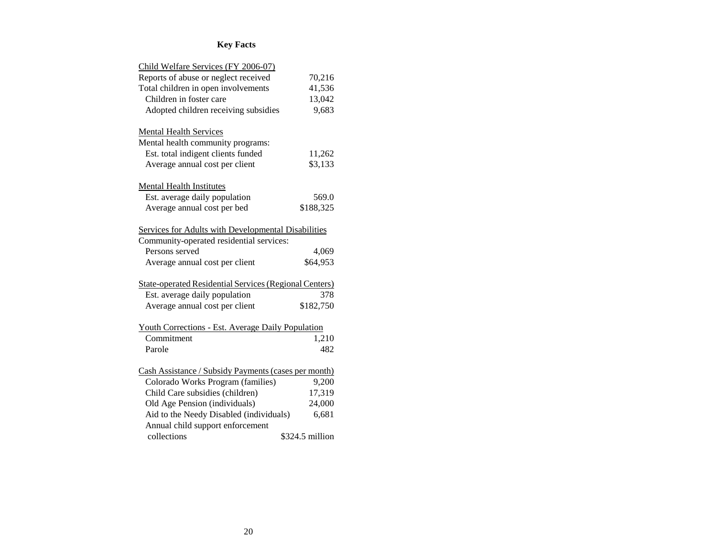| Child Welfare Services (FY 2006-07)                           |                 |
|---------------------------------------------------------------|-----------------|
| Reports of abuse or neglect received                          | 70,216          |
| Total children in open involvements                           | 41,536          |
| Children in foster care                                       | 13,042          |
| Adopted children receiving subsidies                          | 9,683           |
| <b>Mental Health Services</b>                                 |                 |
| Mental health community programs:                             |                 |
| Est. total indigent clients funded                            | 11,262          |
| Average annual cost per client                                | \$3,133         |
| Mental Health Institutes                                      |                 |
| Est. average daily population                                 | 569.0           |
| Average annual cost per bed                                   | \$188,325       |
| Services for Adults with Developmental Disabilities           |                 |
| Community-operated residential services:                      |                 |
| Persons served                                                | 4,069           |
| Average annual cost per client                                | \$64,953        |
| <b>State-operated Residential Services (Regional Centers)</b> |                 |
| Est. average daily population                                 | 378             |
| Average annual cost per client                                | \$182,750       |
| Youth Corrections - Est. Average Daily Population             |                 |
| Commitment                                                    | 1,210           |
| Parole                                                        | 482             |
| Cash Assistance / Subsidy Payments (cases per month)          |                 |
| Colorado Works Program (families)                             | 9,200           |
| Child Care subsidies (children)                               | 17,319          |
| Old Age Pension (individuals)                                 | 24,000          |
| Aid to the Needy Disabled (individuals)                       | 6,681           |
| Annual child support enforcement                              |                 |
| collections                                                   | \$324.5 million |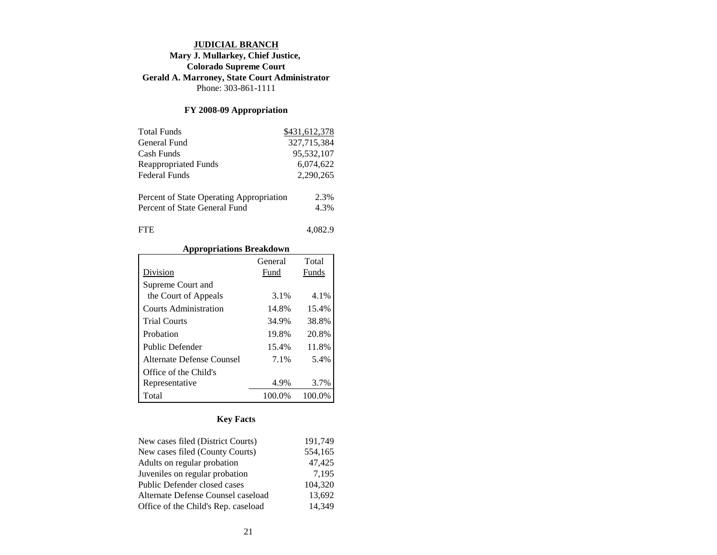#### **JUDICIAL BRANCH Mary J. Mullarkey, Chief Justice, Colorado Supreme Court Gerald A. Marroney, State Court Administrator** Phone: 303-861-1111

### **FY 2008-09 Appropriation**

| <b>Total Funds</b>                       | \$431,612,378 |
|------------------------------------------|---------------|
| General Fund                             | 327,715,384   |
| Cash Funds                               | 95,532,107    |
| <b>Reappropriated Funds</b>              | 6,074,622     |
| Federal Funds                            | 2,290,265     |
| Percent of State Operating Appropriation | 2.3%          |
| Percent of State General Fund            | 4.3%          |
| <b>FTE</b>                               | 4.082.9       |

### **Appropriations Breakdown**

|                           | General | Total  |
|---------------------------|---------|--------|
| Division                  | Fund    | Funds  |
| Supreme Court and         |         |        |
| the Court of Appeals      | 3.1%    | 4.1%   |
| Courts Administration     | 14.8%   | 15.4%  |
| <b>Trial Courts</b>       | 34.9%   | 38.8%  |
| Probation                 | 19.8%   | 20.8%  |
| Public Defender           | 15.4%   | 11.8%  |
| Alternate Defense Counsel | 7.1%    | 5.4%   |
| Office of the Child's     |         |        |
| Representative            | 4.9%    | 3.7%   |
| Total                     | 100.0%  | 100.0% |

| New cases filed (District Courts)   | 191.749 |
|-------------------------------------|---------|
| New cases filed (County Courts)     | 554,165 |
| Adults on regular probation         | 47,425  |
| Juveniles on regular probation      | 7,195   |
| Public Defender closed cases        | 104,320 |
| Alternate Defense Counsel caseload  | 13,692  |
| Office of the Child's Rep. caseload | 14.349  |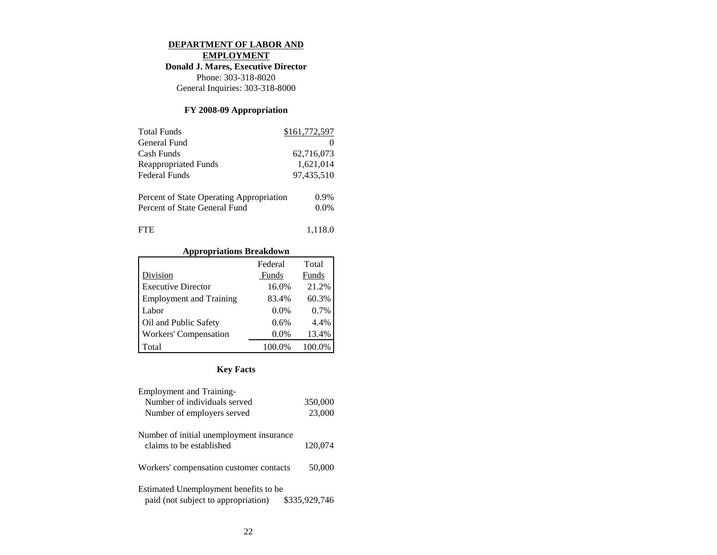#### **DEPARTMENT OF LABOR AND**

**EMPLOYMENT**

**Donald J. Mares, Executive Director**

Phone: 303-318-8020 General Inquiries: 303-318-8000

### **FY 2008-09 Appropriation**

| <b>Total Funds</b>                       | \$161,772,597 |
|------------------------------------------|---------------|
| General Fund                             |               |
| Cash Funds                               | 62,716,073    |
| <b>Reappropriated Funds</b>              | 1,621,014     |
| <b>Federal Funds</b>                     | 97,435,510    |
|                                          |               |
| Percent of State Operating Appropriation | $0.9\%$       |
| Percent of State General Fund            | $0.0\%$       |
| FTE.                                     | 1,118.0       |

#### **Appropriations Breakdown**

|                                | Federal | Total  |
|--------------------------------|---------|--------|
| Division                       | Funds   | Funds  |
| <b>Executive Director</b>      | 16.0%   | 21.2%  |
| <b>Employment and Training</b> | 83.4%   | 60.3%  |
| Labor                          | $0.0\%$ | 0.7%   |
| Oil and Public Safety          | 0.6%    | 4.4%   |
| Workers' Compensation          | $0.0\%$ | 13.4%  |
| Total                          | 100.0%  | 100.0% |

| <b>Employment and Training-</b>                                                               |         |  |
|-----------------------------------------------------------------------------------------------|---------|--|
| Number of individuals served                                                                  | 350,000 |  |
| Number of employers served                                                                    | 23,000  |  |
| Number of initial unemployment insurance<br>claims to be established                          | 120,074 |  |
| Workers' compensation customer contacts                                                       | 50,000  |  |
| Estimated Unemployment benefits to be<br>paid (not subject to appropriation)<br>\$335,929,746 |         |  |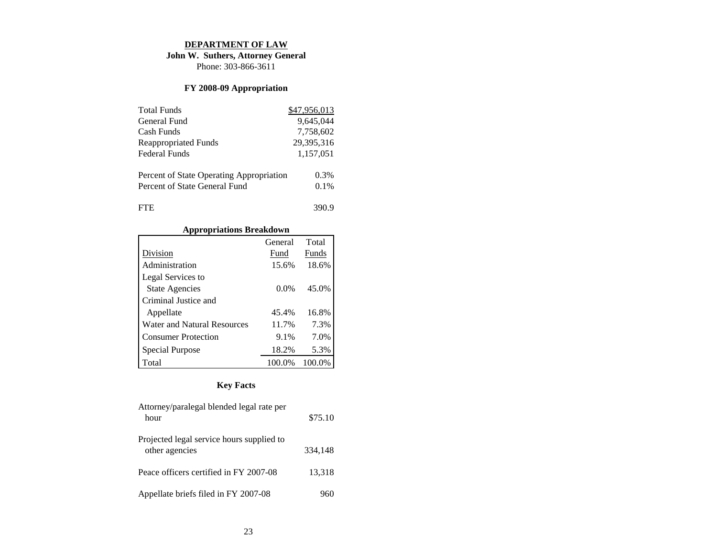#### **DEPARTMENT OF LAW**

**John W. Suthers, Attorney General**

Phone: 303-866-3611

# **FY 2008-09 Appropriation**

| <b>Total Funds</b>                       | \$47,956,013 |
|------------------------------------------|--------------|
| General Fund                             | 9.645.044    |
| Cash Funds                               | 7,758,602    |
| <b>Reappropriated Funds</b>              | 29,395,316   |
| Federal Funds                            | 1,157,051    |
| Percent of State Operating Appropriation | 0.3%         |
| Percent of State General Fund            | 0.1%         |
| <b>FTE</b>                               | 390.9        |

# **Appropriations Breakdown**

|                                    | General | Total  |
|------------------------------------|---------|--------|
| Division                           | Fund    | Funds  |
| Administration                     | 15.6%   | 18.6%  |
| Legal Services to                  |         |        |
| <b>State Agencies</b>              | $0.0\%$ | 45.0%  |
| Criminal Justice and               |         |        |
| Appellate                          | 45.4%   | 16.8%  |
| <b>Water and Natural Resources</b> | 11.7%   | 7.3%   |
| <b>Consumer Protection</b>         | 9.1%    | 7.0%   |
| Special Purpose                    | 18.2%   | 5.3%   |
| Total                              | 100.0%  | 100.0% |

| Attorney/paralegal blended legal rate per<br>hour           | \$75.10 |
|-------------------------------------------------------------|---------|
| Projected legal service hours supplied to<br>other agencies | 334,148 |
| Peace officers certified in FY 2007-08                      | 13,318  |
| Appellate briefs filed in FY 2007-08                        |         |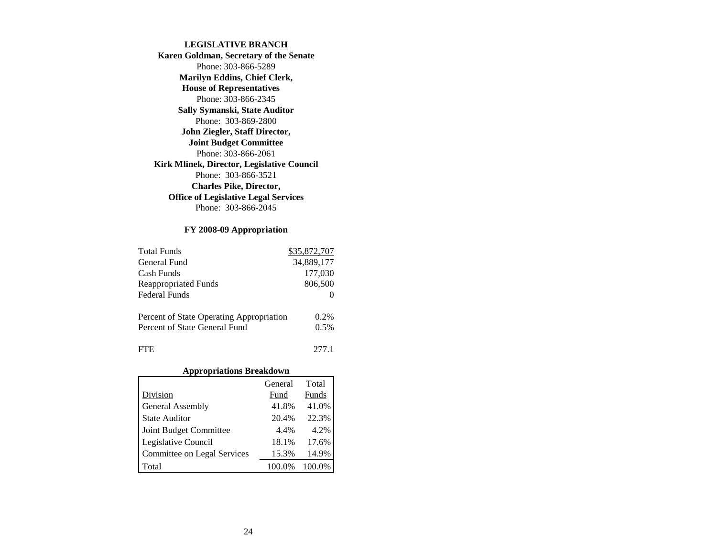#### **LEGISLATIVE BRANCH**

**Karen Goldman, Secretary of the Senate** Phone: 303-866-5289 **Marilyn Eddins, Chief Clerk, House of Representatives** Phone: 303-866-2345 **Sally Symanski, State Auditor** Phone: 303-869-2800 **John Ziegler, Staff Director, Joint Budget Committee** Phone: 303-866-2061**Kirk Mlinek, Director, Legislative Council** Phone: 303-866-3521**Charles Pike, Director, Office of Legislative Legal Services** Phone: 303-866-2045

#### **FY 2008-09 Appropriation**

| <b>Total Funds</b>                       | \$35,872,707 |
|------------------------------------------|--------------|
| General Fund                             | 34,889,177   |
| Cash Funds                               | 177,030      |
| <b>Reappropriated Funds</b>              | 806,500      |
| <b>Federal Funds</b>                     |              |
| Percent of State Operating Appropriation | $0.2\%$      |
| Percent of State General Fund            | 0.5%         |
| <b>FTE</b>                               | 277.1        |

#### **Appropriations Breakdown**

|                             | General | Total  |
|-----------------------------|---------|--------|
| Division                    | Fund    | Funds  |
| General Assembly            | 41.8%   | 41.0%  |
| <b>State Auditor</b>        | 20.4%   | 22.3%  |
| Joint Budget Committee      | 4.4%    | 4.2%   |
| Legislative Council         | 18.1%   | 17.6%  |
| Committee on Legal Services | 15.3%   | 14.9%  |
| Total                       | 100.0%  | 100.0% |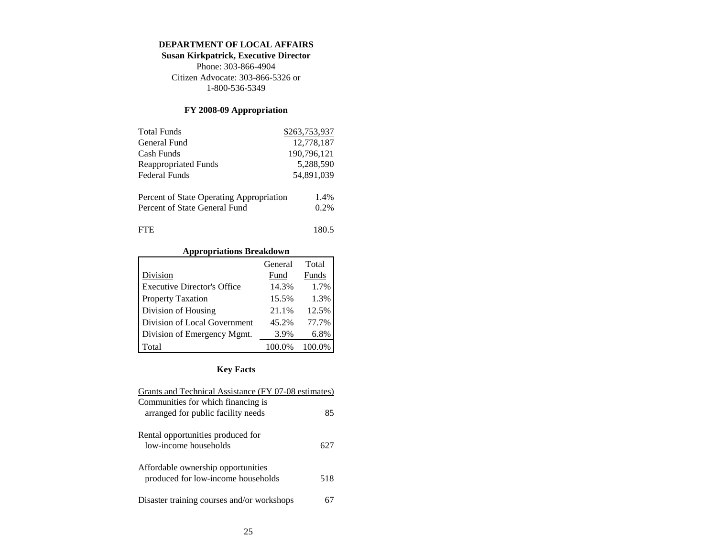#### **DEPARTMENT OF LOCAL AFFAIRS**

**Susan Kirkpatrick, Executive Director** Phone: 303-866-4904 Citizen Advocate: 303-866-5326 or 1-800-536-5349

# **FY 2008-09 Appropriation**

| <b>Total Funds</b>                       | \$263,753,937 |
|------------------------------------------|---------------|
| General Fund                             | 12,778,187    |
| Cash Funds                               | 190,796,121   |
| <b>Reappropriated Funds</b>              | 5,288,590     |
| Federal Funds                            | 54,891,039    |
| Percent of State Operating Appropriation | 1.4%          |
| Percent of State General Fund            | 0.2%          |
| FFE                                      | 180.5         |

## **Appropriations Breakdown**

|                                    | General | Total  |
|------------------------------------|---------|--------|
| Division                           | Fund    | Funds  |
| <b>Executive Director's Office</b> | 14.3%   | 1.7%   |
| <b>Property Taxation</b>           | 15.5%   | 1.3%   |
| Division of Housing                | 21.1%   | 12.5%  |
| Division of Local Government       | 45.2%   | 77.7%  |
| Division of Emergency Mgmt.        | 3.9%    | 6.8%   |
| Total                              | 100.0%  | 100.0% |

| Grants and Technical Assistance (FY 07-08 estimates)                     |     |
|--------------------------------------------------------------------------|-----|
| Communities for which financing is                                       |     |
| arranged for public facility needs                                       | 85  |
| Rental opportunities produced for<br>low-income households               | 627 |
| Affordable ownership opportunities<br>produced for low-income households | 518 |
| Disaster training courses and/or workshops                               |     |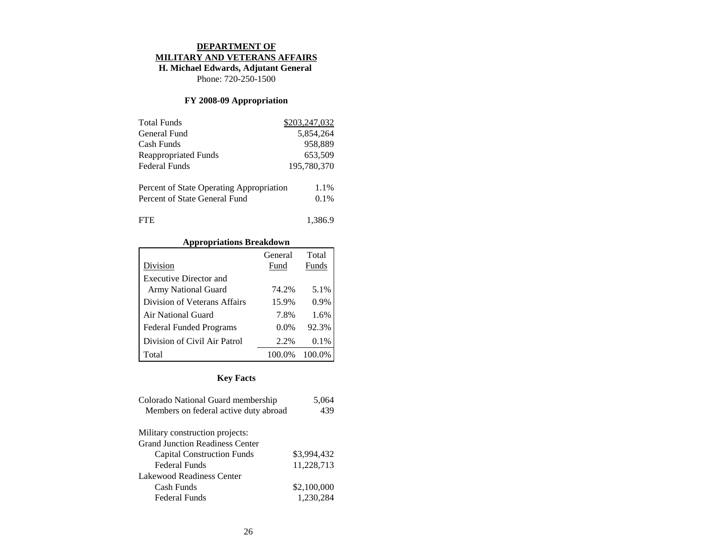#### **DEPARTMENT OF**

#### **MILITARY AND VETERANS AFFAIRS**

# **H. Michael Edwards, Adjutant General**

Phone: 720-250-1500

# **FY 2008-09 Appropriation**

| <b>Total Funds</b>                       | \$203,247,032 |
|------------------------------------------|---------------|
| General Fund                             | 5,854,264     |
| Cash Funds                               | 958,889       |
| <b>Reappropriated Funds</b>              | 653,509       |
| Federal Funds                            | 195,780,370   |
| Percent of State Operating Appropriation | 1.1%          |
| Percent of State General Fund            | 0.1%          |
| <b>FTE</b>                               | 1,386.9       |

### **Appropriations Breakdown**

|                                | General | Total |
|--------------------------------|---------|-------|
| Division                       | Fund    | Funds |
| <b>Executive Director and</b>  |         |       |
| <b>Army National Guard</b>     | 74.2%   | 5.1%  |
| Division of Veterans Affairs   | 15.9%   | 0.9%  |
| Air National Guard             | 7.8%    | 1.6%  |
| <b>Federal Funded Programs</b> | $0.0\%$ | 92.3% |
| Division of Civil Air Patrol   | 2.2%    | 0.1%  |
| Total                          | 100.0%  |       |

| Colorado National Guard membership     | 5,064       |
|----------------------------------------|-------------|
| Members on federal active duty abroad  | 439         |
| Military construction projects:        |             |
| <b>Grand Junction Readiness Center</b> |             |
| <b>Capital Construction Funds</b>      | \$3,994,432 |
| Federal Funds                          | 11,228,713  |
| Lakewood Readiness Center              |             |
| Cash Funds                             | \$2,100,000 |
| Federal Funds                          | 1,230,284   |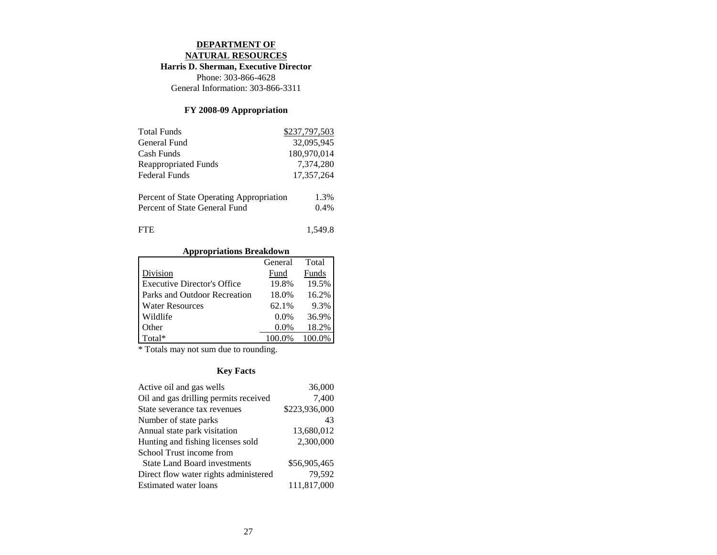# **DEPARTMENT OF**

**NATURAL RESOURCES**

**Harris D. Sherman, Executive Director**

Phone: 303-866-4628 General Information: 303-866-3311

## **FY 2008-09 Appropriation**

| <b>Total Funds</b>                       | \$237,797,503 |
|------------------------------------------|---------------|
| General Fund                             | 32,095,945    |
| Cash Funds                               | 180,970,014   |
| <b>Reappropriated Funds</b>              | 7,374,280     |
| <b>Federal Funds</b>                     | 17,357,264    |
| Percent of State Operating Appropriation | 1.3%          |
| Percent of State General Fund            | 0.4%          |
| FTE.                                     | 1.549.8       |

# **Appropriations Breakdown**

|                                    | General | Total |
|------------------------------------|---------|-------|
| Division                           | Fund    | Funds |
| <b>Executive Director's Office</b> | 19.8%   | 19.5% |
| Parks and Outdoor Recreation       | 18.0%   | 16.2% |
| <b>Water Resources</b>             | 62.1%   | 9.3%  |
| Wildlife                           | $0.0\%$ | 36.9% |
| Other                              | $0.0\%$ | 18.2% |
| Total*                             |         |       |

\* Totals may not sum due to rounding.

| Active oil and gas wells              | 36,000        |
|---------------------------------------|---------------|
| Oil and gas drilling permits received | 7,400         |
| State severance tax revenues          | \$223,936,000 |
| Number of state parks                 | 43            |
| Annual state park visitation          | 13,680,012    |
| Hunting and fishing licenses sold     | 2,300,000     |
| School Trust income from              |               |
| <b>State Land Board investments</b>   | \$56,905,465  |
| Direct flow water rights administered | 79,592        |
| <b>Estimated water loans</b>          | 111,817,000   |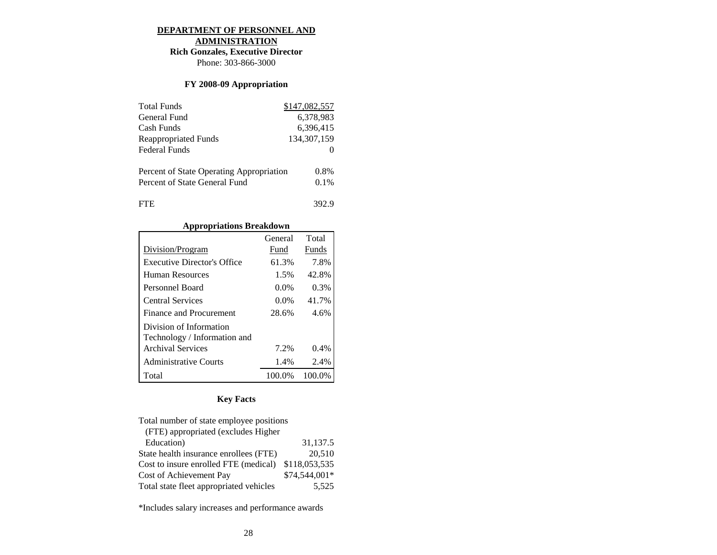#### **DEPARTMENT OF PERSONNEL AND ADMINISTRATION**

# **Rich Gonzales, Executive Director**

Phone: 303-866-3000

## **FY 2008-09 Appropriation**

| <b>Total Funds</b>                       | \$147,082,557 |
|------------------------------------------|---------------|
| General Fund                             | 6.378.983     |
| Cash Funds                               | 6,396,415     |
| <b>Reappropriated Funds</b>              | 134, 307, 159 |
| <b>Federal Funds</b>                     |               |
| Percent of State Operating Appropriation | $0.8\%$       |
| Percent of State General Fund            | 0.1%          |
| FTE                                      | 392.9         |

### **Appropriations Breakdown**

|                                                         | General | Total  |
|---------------------------------------------------------|---------|--------|
| Division/Program                                        | Fund    | Funds  |
| Executive Director's Office                             | 61.3%   | 7.8%   |
| <b>Human Resources</b>                                  | 1.5%    | 42.8%  |
| Personnel Board                                         | $0.0\%$ | 0.3%   |
| <b>Central Services</b>                                 | $0.0\%$ | 41.7%  |
| Finance and Procurement                                 | 28.6%   | 4.6%   |
| Division of Information<br>Technology / Information and |         |        |
| <b>Archival Services</b>                                | 7.2%    | 0.4%   |
| <b>Administrative Courts</b>                            | 1.4%    | 2.4%   |
| Total                                                   | 100.0%  | 100.0% |

## **Key Facts**

| Total number of state employee positions |               |
|------------------------------------------|---------------|
| (FTE) appropriated (excludes Higher      |               |
| Education)                               | 31,137.5      |
| State health insurance enrollees (FTE)   | 20,510        |
| Cost to insure enrolled FTE (medical)    | \$118,053,535 |
| Cost of Achievement Pay                  | \$74,544,001* |
| Total state fleet appropriated vehicles  | 5.525         |

\*Includes salary increases and performance awards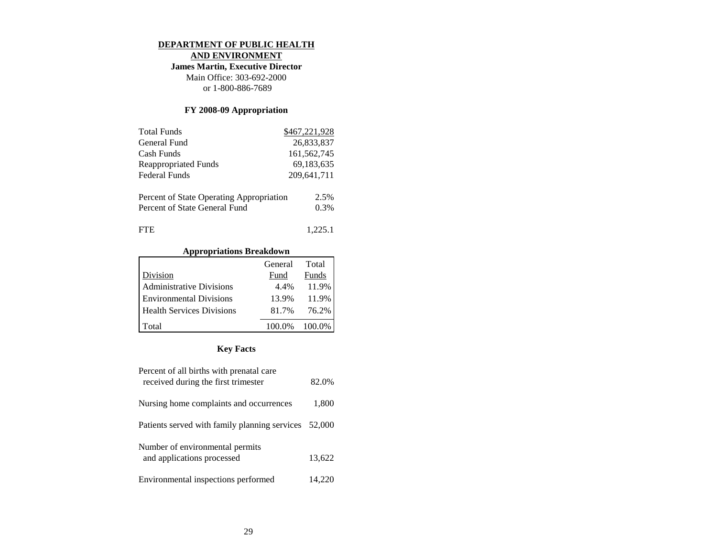#### **DEPARTMENT OF PUBLIC HEALTH**

**AND ENVIRONMENT**

**James Martin, Executive Director**

Main Office: 303-692-2000 or 1-800-886-7689

### **FY 2008-09 Appropriation**

| <b>Total Funds</b>                       | \$467,221,928 |
|------------------------------------------|---------------|
| General Fund                             | 26.833.837    |
| Cash Funds                               | 161,562,745   |
| <b>Reappropriated Funds</b>              | 69,183,635    |
| <b>Federal Funds</b>                     | 209,641,711   |
| Percent of State Operating Appropriation | 2.5%          |
| Percent of State General Fund            | 0.3%          |
| FTE.                                     | 1.225.1       |

### **Appropriations Breakdown**

|                                | General | Total         |
|--------------------------------|---------|---------------|
| Division                       | Fund    | Funds         |
| Administrative Divisions       | 4.4%    | 11.9%         |
| <b>Environmental Divisions</b> | 13.9%   | 11.9%         |
| Health Services Divisions      | 81.7%   | 76.2%         |
| l Total                        |         | 100.0% 100.0% |

| Percent of all births with prenatal care<br>received during the first trimester | 82.0%  |
|---------------------------------------------------------------------------------|--------|
| Nursing home complaints and occurrences                                         | 1,800  |
| Patients served with family planning services                                   | 52,000 |
| Number of environmental permits<br>and applications processed                   | 13,622 |
| Environmental inspections performed                                             | 14,220 |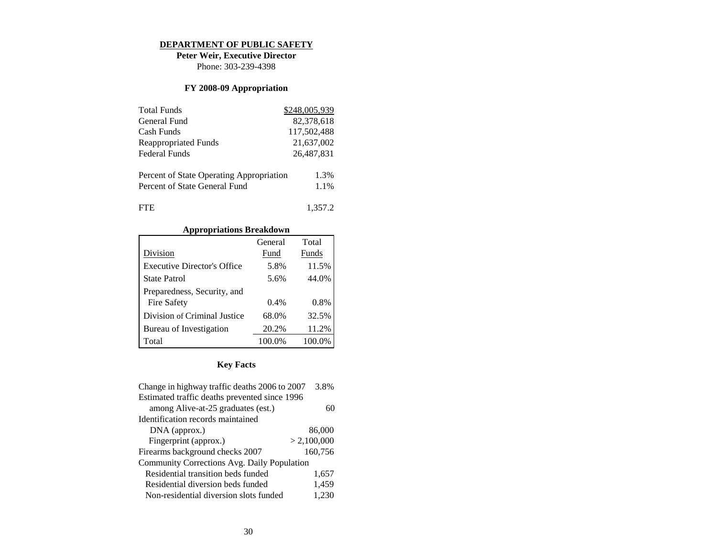#### **DEPARTMENT OF PUBLIC SAFETY**

**Peter Weir, Executive Director** Phone: 303-239-4398

### **FY 2008-09 Appropriation**

| <b>Total Funds</b>                       | \$248,005,939 |
|------------------------------------------|---------------|
| General Fund                             | 82,378,618    |
| Cash Funds                               | 117,502,488   |
| <b>Reappropriated Funds</b>              | 21,637,002    |
| <b>Federal Funds</b>                     | 26,487,831    |
|                                          |               |
| Percent of State Operating Appropriation | 1.3%          |
| Percent of State General Fund            | 1.1%          |
| <b>FTE</b>                               | 1,357.2       |

### **Appropriations Breakdown**

|                                    | General | Total  |
|------------------------------------|---------|--------|
| Division                           | Fund    | Funds  |
| <b>Executive Director's Office</b> | 5.8%    | 11.5%  |
| <b>State Patrol</b>                | 5.6%    | 44.0%  |
| Preparedness, Security, and        |         |        |
| Fire Safety                        | 0.4%    | 0.8%   |
| Division of Criminal Justice       | 68.0%   | 32.5%  |
| Bureau of Investigation            | 20.2%   | 11.2%  |
| Total                              | 100.0%  | 100.0% |

| Change in highway traffic deaths 2006 to 2007 | 3.8%        |  |
|-----------------------------------------------|-------------|--|
| Estimated traffic deaths prevented since 1996 |             |  |
| among Alive-at-25 graduates (est.)            | 60          |  |
| Identification records maintained             |             |  |
| DNA (approx.)                                 | 86,000      |  |
| Fingerprint (approx.)                         | > 2,100,000 |  |
| Firearms background checks 2007               | 160,756     |  |
| Community Corrections Avg. Daily Population   |             |  |
| Residential transition beds funded            | 1,657       |  |
| Residential diversion beds funded             | 1,459       |  |
| Non-residential diversion slots funded        | 1,230       |  |
|                                               |             |  |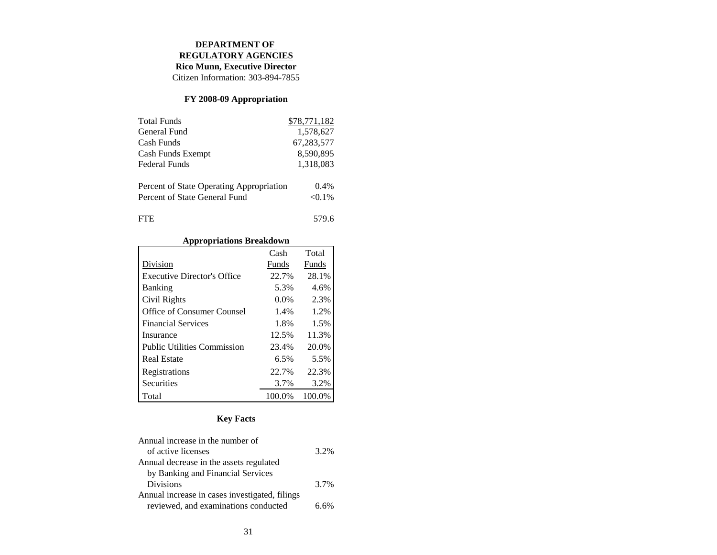### **DEPARTMENT OF**

**REGULATORY AGENCIES**

**Rico Munn, Executive Director**

Citizen Information: 303-894-7855

# **FY 2008-09 Appropriation**

| <b>Total Funds</b>                       | \$78,771,182 |
|------------------------------------------|--------------|
| General Fund                             | 1,578,627    |
| Cash Funds                               | 67,283,577   |
| Cash Funds Exempt                        | 8,590,895    |
| Federal Funds                            | 1,318,083    |
| Percent of State Operating Appropriation | $0.4\%$      |
| Percent of State General Fund            | $< 0.1\%$    |
| <b>FTE</b>                               | 579.6        |

### **Appropriations Breakdown**

|                                    | Cash    | Total  |
|------------------------------------|---------|--------|
| Division                           | Funds   | Funds  |
| <b>Executive Director's Office</b> | 22.7%   | 28.1%  |
| <b>Banking</b>                     | 5.3%    | 4.6%   |
| Civil Rights                       | $0.0\%$ | 2.3%   |
| Office of Consumer Counsel         | 1.4%    | 1.2%   |
| <b>Financial Services</b>          | 1.8%    | 1.5%   |
| Insurance                          | 12.5%   | 11.3%  |
| <b>Public Utilities Commission</b> | 23.4%   | 20.0%  |
| <b>Real Estate</b>                 | 6.5%    | 5.5%   |
| Registrations                      | 22.7%   | 22.3%  |
| Securities                         | 3.7%    | 3.2%   |
| Total                              | 100.0%  | 100.0% |

| Annual increase in the number of               |      |
|------------------------------------------------|------|
| of active licenses                             | 3.2% |
| Annual decrease in the assets regulated        |      |
| by Banking and Financial Services              |      |
| <b>Divisions</b>                               | 3.7% |
| Annual increase in cases investigated, filings |      |
| reviewed, and examinations conducted           | 6 6% |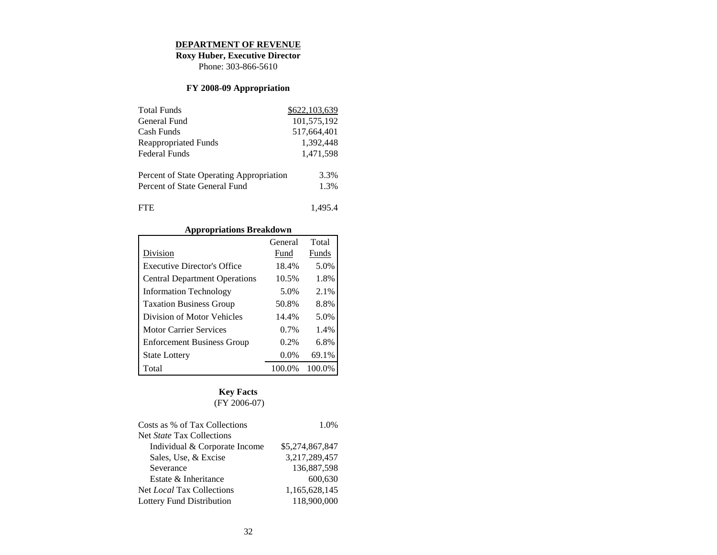#### **DEPARTMENT OF REVENUE**

**Roxy Huber, Executive Director**

Phone: 303-866-5610

## **FY 2008-09 Appropriation**

| <b>Total Funds</b>                       | \$622,103,639 |
|------------------------------------------|---------------|
| General Fund                             | 101,575,192   |
| Cash Funds                               | 517,664,401   |
| <b>Reappropriated Funds</b>              | 1,392,448     |
| Federal Funds                            | 1,471,598     |
|                                          |               |
| Percent of State Operating Appropriation | 3.3%          |
| Percent of State General Fund            | 1.3%          |
|                                          |               |
| FTE.                                     | 1.495.4       |

# **Appropriations Breakdown**

|                                      | General | Total  |
|--------------------------------------|---------|--------|
| Division                             | Fund    | Funds  |
| <b>Executive Director's Office</b>   | 18.4%   | 5.0%   |
| <b>Central Department Operations</b> | 10.5%   | 1.8%   |
| <b>Information Technology</b>        | 5.0%    | 2.1%   |
| <b>Taxation Business Group</b>       | 50.8%   | 8.8%   |
| Division of Motor Vehicles           | 14.4%   | 5.0%   |
| <b>Motor Carrier Services</b>        | 0.7%    | 1.4%   |
| <b>Enforcement Business Group</b>    | $0.2\%$ | 6.8%   |
| <b>State Lottery</b>                 | $0.0\%$ | 69.1%  |
| Total                                | 100.0%  | 100.0% |

# **Key Facts** (FY 2006-07)

| Costs as % of Tax Collections    | 1.0%            |
|----------------------------------|-----------------|
| Net <i>State</i> Tax Collections |                 |
| Individual & Corporate Income    | \$5,274,867,847 |
| Sales, Use, & Excise             | 3,217,289,457   |
| Severance                        | 136,887,598     |
| Estate & Inheritance             | 600.630         |
| Net <i>Local</i> Tax Collections | 1,165,628,145   |
| Lottery Fund Distribution        | 118,900,000     |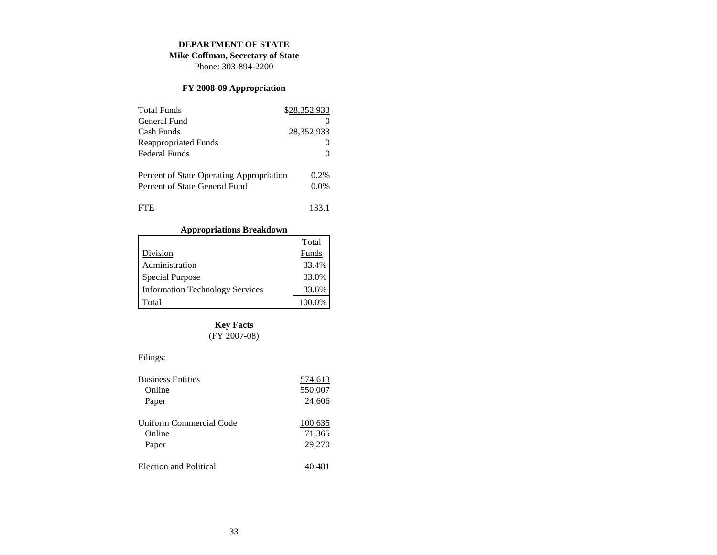#### **DEPARTMENT OF STATE**

**Mike Coffman, Secretary of State** Phone: 303-894-2200

### **FY 2008-09 Appropriation**

| <b>Total Funds</b>                       | \$28,352,933 |
|------------------------------------------|--------------|
| General Fund                             |              |
| Cash Funds                               | 28,352,933   |
| <b>Reappropriated Funds</b>              |              |
| Federal Funds                            |              |
| Percent of State Operating Appropriation | $0.2\%$      |
| Percent of State General Fund            | $0.0\%$      |
| <b>FTE</b>                               | 133.1        |

# **Appropriations Breakdown**

|                                        | Total  |
|----------------------------------------|--------|
| Division                               | Funds  |
| Administration                         | 33.4%  |
| Special Purpose                        | 33.0%  |
| <b>Information Technology Services</b> | 33.6%  |
| Total                                  | 100.0% |

# **Key Facts**

## (FY 2007-08)

# Filings:

| <b>Business Entities</b> | 574,613 |
|--------------------------|---------|
| Online                   | 550,007 |
| Paper                    | 24,606  |
| Uniform Commercial Code  | 100,635 |
| Online                   | 71,365  |
| Paper                    | 29,270  |
| Election and Political   | 40.481  |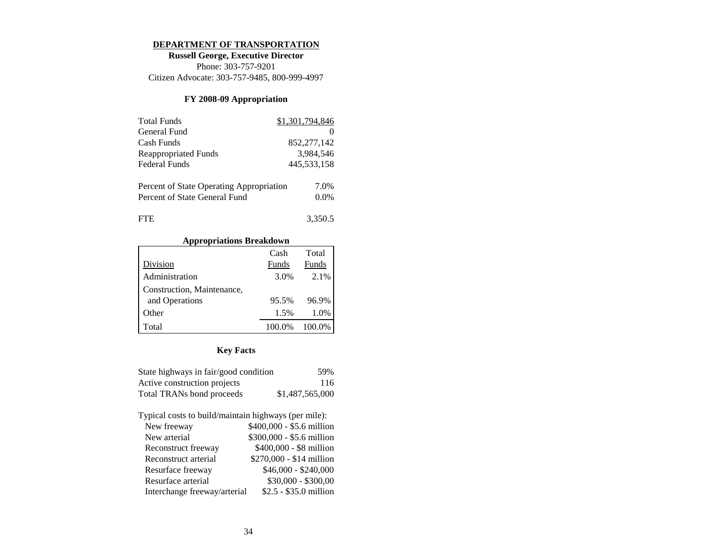#### **DEPARTMENT OF TRANSPORTATION**

**Russell George, Executive Director** Phone: 303-757-9201 Citizen Advocate: 303-757-9485, 800-999-4997

### **FY 2008-09 Appropriation**

| <b>Total Funds</b>                       | \$1,301,794,846 |
|------------------------------------------|-----------------|
| General Fund                             |                 |
| Cash Funds                               | 852, 277, 142   |
| <b>Reappropriated Funds</b>              | 3.984.546       |
| <b>Federal Funds</b>                     | 445,533,158     |
|                                          |                 |
| Percent of State Operating Appropriation | 7.0%            |
| Percent of State General Fund            | $0.0\%$         |
|                                          |                 |
| <b>FTE</b>                               | 3,350.5         |

#### **Appropriations Breakdown**

|                            | Cash   | Total  |
|----------------------------|--------|--------|
| Division                   | Funds  | Funds  |
| Administration             | 3.0%   | 2.1%   |
| Construction, Maintenance, |        |        |
| and Operations             | 95.5%  | 96.9%  |
| Other                      | 1.5%   | 1.0%   |
| Total                      | 100.0% | 100.0% |

## **Key Facts**

| State highways in fair/good condition | 59%             |
|---------------------------------------|-----------------|
| Active construction projects          | 116             |
| Total TRANs bond proceeds             | \$1,487,565,000 |

Typical costs to build/maintain highways (per mile):

| New freeway                  | \$400,000 - \$5.6 million |
|------------------------------|---------------------------|
| New arterial                 | \$300,000 - \$5.6 million |
| Reconstruct freeway          | \$400,000 - \$8 million   |
| Reconstruct arterial         | \$270,000 - \$14 million  |
| Resurface freeway            | $$46,000 - $240,000$      |
| Resurface arterial           | $$30,000 - $300,00$       |
| Interchange freeway/arterial | \$2.5 - \$35.0 million    |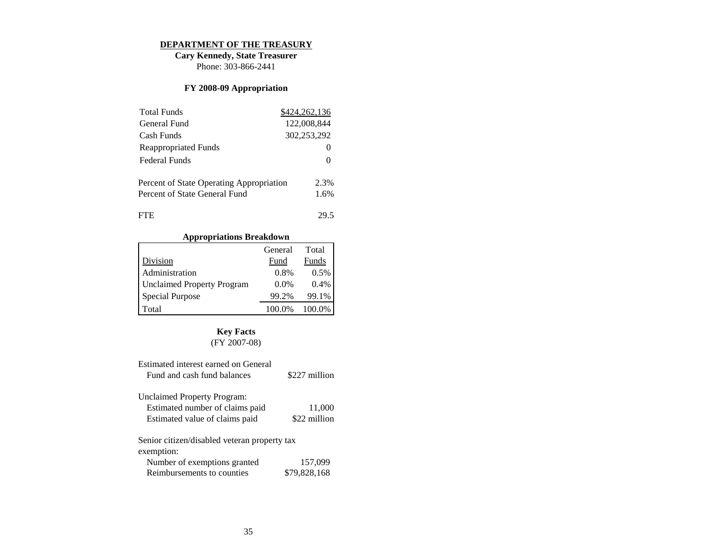#### **DEPARTMENT OF THE TREASURY**

**Cary Kennedy, State Treasurer** Phone: 303-866-2441

# **FY 2008-09 Appropriation**

| <b>Total Funds</b>                       | \$424,262,136 |
|------------------------------------------|---------------|
| General Fund                             | 122,008,844   |
| Cash Funds                               | 302,253,292   |
| Reappropriated Funds                     |               |
| Federal Funds                            |               |
| Percent of State Operating Appropriation | 2.3%          |
| Percent of State General Fund            | 1.6%          |
| <b>FTE</b>                               | 29.5          |

# **Appropriations Breakdown**

|                                   | General | Total  |
|-----------------------------------|---------|--------|
| Division                          | Fund    | Funds  |
| Administration                    | 0.8%    | 0.5%   |
| <b>Unclaimed Property Program</b> | $0.0\%$ | 0.4%   |
| Special Purpose                   | 99.2%   | 99.1%  |
| Total                             | 100.0%  | 100.0% |

# **Key Facts**

# (FY 2007-08)

| Estimated interest earned on General         |               |
|----------------------------------------------|---------------|
| Fund and cash fund balances                  | \$227 million |
| Unclaimed Property Program:                  |               |
| Estimated number of claims paid              | 11,000        |
| Estimated value of claims paid               | \$22 million  |
| Senior citizen/disabled veteran property tax |               |
| exemption:                                   |               |
| Number of exemptions granted                 | 157,099       |
| Reimbursements to counties                   | \$79,828,168  |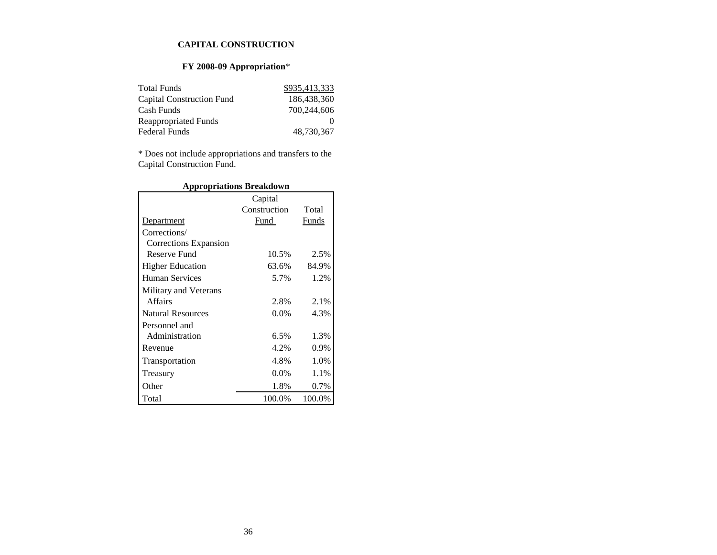#### **CAPITAL CONSTRUCTION**

# **FY 2008-09 Appropriation**\*

| <b>Total Funds</b>               | \$935,413,333 |
|----------------------------------|---------------|
| <b>Capital Construction Fund</b> | 186,438,360   |
| Cash Funds                       | 700.244,606   |
| Reappropriated Funds             |               |
| <b>Federal Funds</b>             | 48,730,367    |

\* Does not include appropriations and transfers to the Capital Construction Fund.

|                          | Capital      |        |
|--------------------------|--------------|--------|
|                          | Construction | Total  |
| Department               | Fund         | Funds  |
| Corrections/             |              |        |
| Corrections Expansion    |              |        |
| Reserve Fund             | 10.5%        | 2.5%   |
| <b>Higher Education</b>  | 63.6%        | 84.9%  |
| <b>Human Services</b>    | 5.7%         | 1.2%   |
| Military and Veterans    |              |        |
| Affairs                  | 2.8%         | 2.1%   |
| <b>Natural Resources</b> | $0.0\%$      | 4.3%   |
| Personnel and            |              |        |
| Administration           | 6.5%         | 1.3%   |
| Revenue                  | 4.2%         | 0.9%   |
| Transportation           | 4.8%         | 1.0%   |
| Treasury                 | $0.0\%$      | 1.1%   |
| Other                    | 1.8%         | 0.7%   |
| Total                    | 100.0%       | 100.0% |

### **Appropriations Breakdown**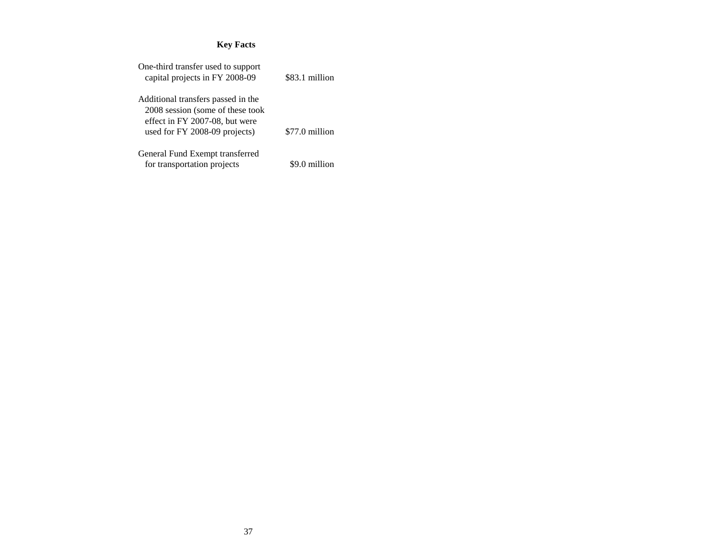| One-third transfer used to support<br>capital projects in FY 2008-09                                                                      | \$83.1 million |
|-------------------------------------------------------------------------------------------------------------------------------------------|----------------|
| Additional transfers passed in the<br>2008 session (some of these took<br>effect in FY 2007-08, but were<br>used for FY 2008-09 projects) | \$77.0 million |
| General Fund Exempt transferred<br>for transportation projects                                                                            | \$9.0 million  |